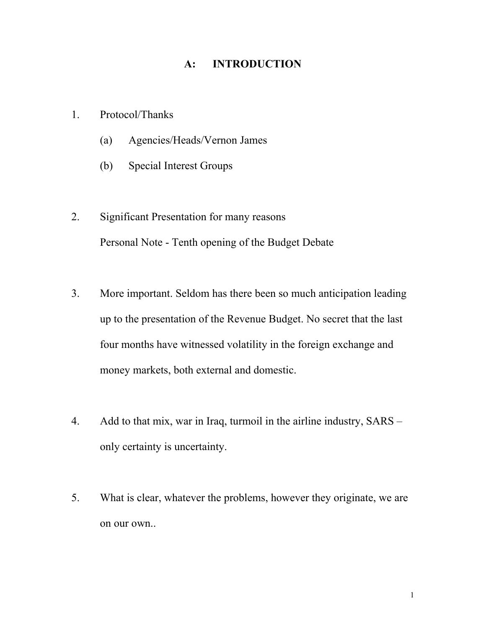## **A: INTRODUCTION**

## 1. Protocol/Thanks

- (a) Agencies/Heads/Vernon James
- (b) Special Interest Groups
- 2. Significant Presentation for many reasons Personal Note - Tenth opening of the Budget Debate
- 3. More important. Seldom has there been so much anticipation leading up to the presentation of the Revenue Budget. No secret that the last four months have witnessed volatility in the foreign exchange and money markets, both external and domestic.
- 4. Add to that mix, war in Iraq, turmoil in the airline industry, SARS only certainty is uncertainty.
- 5. What is clear, whatever the problems, however they originate, we are on our own..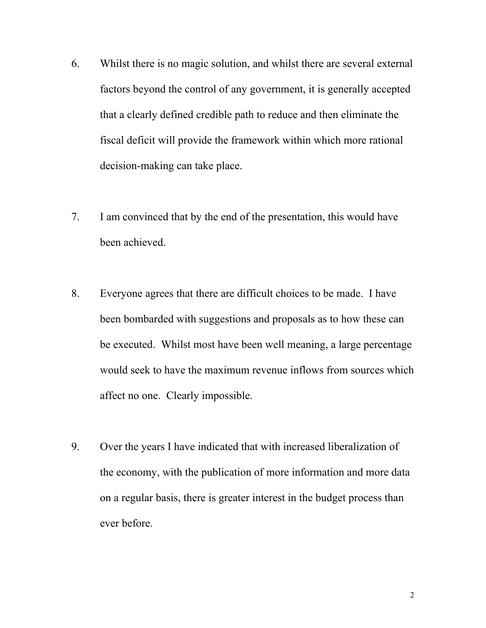- 6. Whilst there is no magic solution, and whilst there are several external factors beyond the control of any government, it is generally accepted that a clearly defined credible path to reduce and then eliminate the fiscal deficit will provide the framework within which more rational decision-making can take place.
- 7. I am convinced that by the end of the presentation, this would have been achieved.
- 8. Everyone agrees that there are difficult choices to be made. I have been bombarded with suggestions and proposals as to how these can be executed. Whilst most have been well meaning, a large percentage would seek to have the maximum revenue inflows from sources which affect no one. Clearly impossible.
- 9. Over the years I have indicated that with increased liberalization of the economy, with the publication of more information and more data on a regular basis, there is greater interest in the budget process than ever before.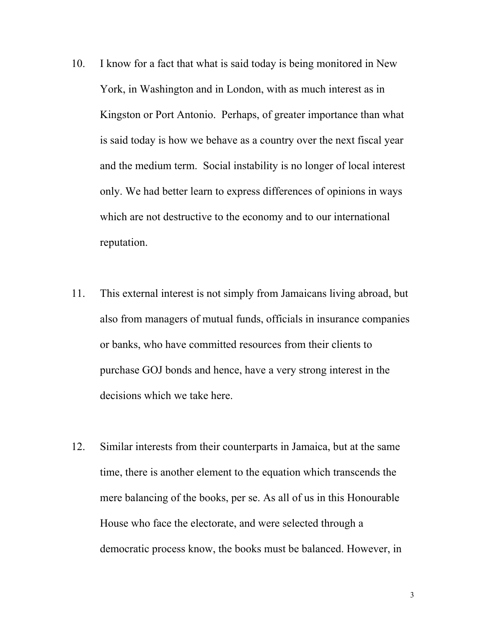- 10. I know for a fact that what is said today is being monitored in New York, in Washington and in London, with as much interest as in Kingston or Port Antonio. Perhaps, of greater importance than what is said today is how we behave as a country over the next fiscal year and the medium term. Social instability is no longer of local interest only. We had better learn to express differences of opinions in ways which are not destructive to the economy and to our international reputation.
- 11. This external interest is not simply from Jamaicans living abroad, but also from managers of mutual funds, officials in insurance companies or banks, who have committed resources from their clients to purchase GOJ bonds and hence, have a very strong interest in the decisions which we take here.
- 12. Similar interests from their counterparts in Jamaica, but at the same time, there is another element to the equation which transcends the mere balancing of the books, per se. As all of us in this Honourable House who face the electorate, and were selected through a democratic process know, the books must be balanced. However, in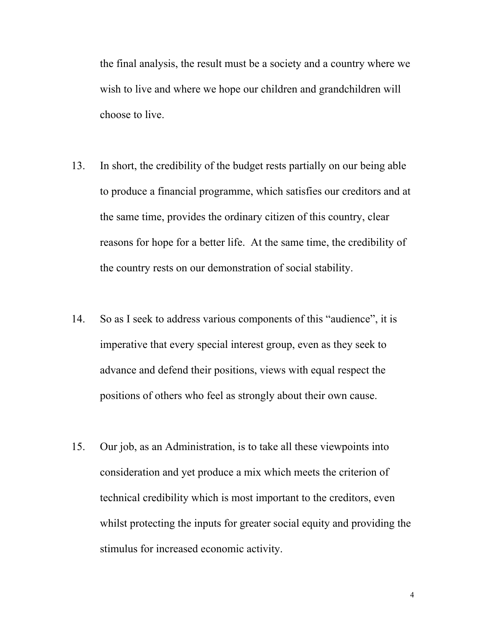the final analysis, the result must be a society and a country where we wish to live and where we hope our children and grandchildren will choose to live.

- 13. In short, the credibility of the budget rests partially on our being able to produce a financial programme, which satisfies our creditors and at the same time, provides the ordinary citizen of this country, clear reasons for hope for a better life. At the same time, the credibility of the country rests on our demonstration of social stability.
- 14. So as I seek to address various components of this "audience", it is imperative that every special interest group, even as they seek to advance and defend their positions, views with equal respect the positions of others who feel as strongly about their own cause.
- 15. Our job, as an Administration, is to take all these viewpoints into consideration and yet produce a mix which meets the criterion of technical credibility which is most important to the creditors, even whilst protecting the inputs for greater social equity and providing the stimulus for increased economic activity.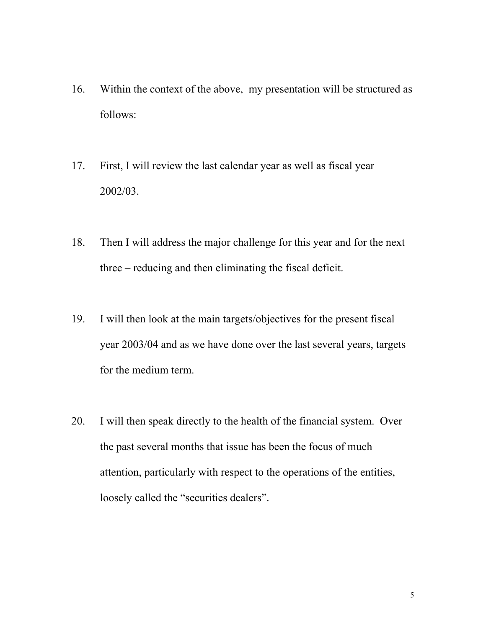- 16. Within the context of the above, my presentation will be structured as follows:
- 17. First, I will review the last calendar year as well as fiscal year 2002/03.
- 18. Then I will address the major challenge for this year and for the next three – reducing and then eliminating the fiscal deficit.
- 19. I will then look at the main targets/objectives for the present fiscal year 2003/04 and as we have done over the last several years, targets for the medium term.
- 20. I will then speak directly to the health of the financial system. Over the past several months that issue has been the focus of much attention, particularly with respect to the operations of the entities, loosely called the "securities dealers".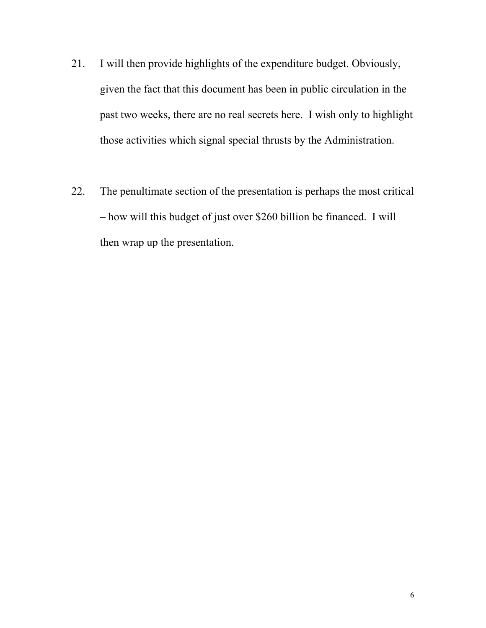- 21. I will then provide highlights of the expenditure budget. Obviously, given the fact that this document has been in public circulation in the past two weeks, there are no real secrets here. I wish only to highlight those activities which signal special thrusts by the Administration.
- 22. The penultimate section of the presentation is perhaps the most critical – how will this budget of just over \$260 billion be financed. I will then wrap up the presentation.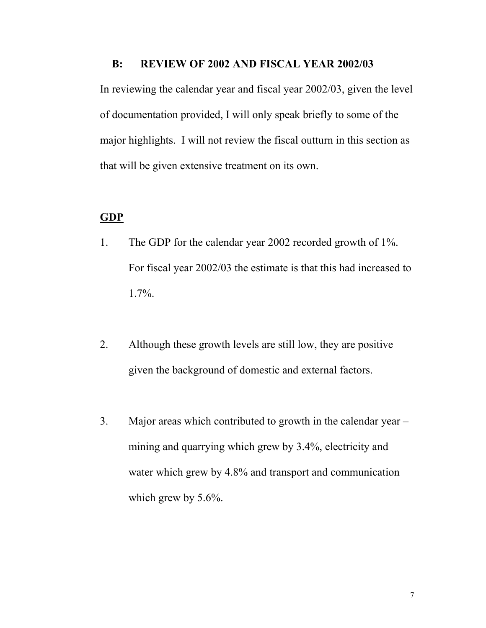#### **B: REVIEW OF 2002 AND FISCAL YEAR 2002/03**

In reviewing the calendar year and fiscal year 2002/03, given the level of documentation provided, I will only speak briefly to some of the major highlights. I will not review the fiscal outturn in this section as that will be given extensive treatment on its own.

## **GDP**

- 1. The GDP for the calendar year 2002 recorded growth of 1%. For fiscal year 2002/03 the estimate is that this had increased to 1.7%.
- 2. Although these growth levels are still low, they are positive given the background of domestic and external factors.
- 3. Major areas which contributed to growth in the calendar year mining and quarrying which grew by 3.4%, electricity and water which grew by 4.8% and transport and communication which grew by 5.6%.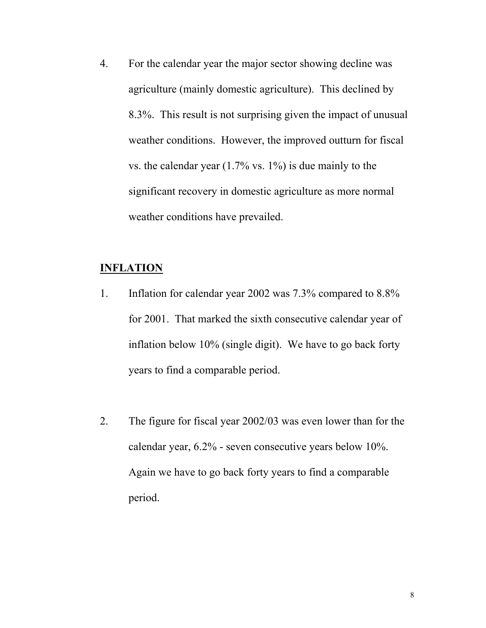4. For the calendar year the major sector showing decline was agriculture (mainly domestic agriculture). This declined by 8.3%. This result is not surprising given the impact of unusual weather conditions. However, the improved outturn for fiscal vs. the calendar year  $(1.7\% \text{ vs. } 1\%)$  is due mainly to the significant recovery in domestic agriculture as more normal weather conditions have prevailed.

## **INFLATION**

- 1. Inflation for calendar year 2002 was 7.3% compared to 8.8% for 2001. That marked the sixth consecutive calendar year of inflation below 10% (single digit). We have to go back forty years to find a comparable period.
- 2. The figure for fiscal year 2002/03 was even lower than for the calendar year, 6.2% - seven consecutive years below 10%. Again we have to go back forty years to find a comparable period.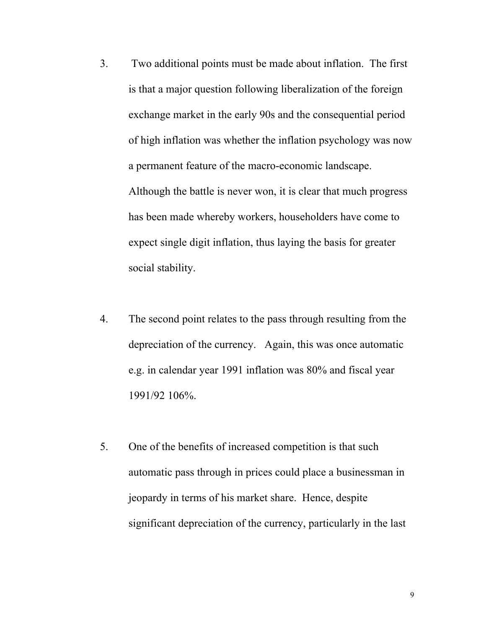- 3. Two additional points must be made about inflation. The first is that a major question following liberalization of the foreign exchange market in the early 90s and the consequential period of high inflation was whether the inflation psychology was now a permanent feature of the macro-economic landscape. Although the battle is never won, it is clear that much progress has been made whereby workers, householders have come to expect single digit inflation, thus laying the basis for greater social stability.
- 4. The second point relates to the pass through resulting from the depreciation of the currency. Again, this was once automatic e.g. in calendar year 1991 inflation was 80% and fiscal year 1991/92 106%.
- 5. One of the benefits of increased competition is that such automatic pass through in prices could place a businessman in jeopardy in terms of his market share. Hence, despite significant depreciation of the currency, particularly in the last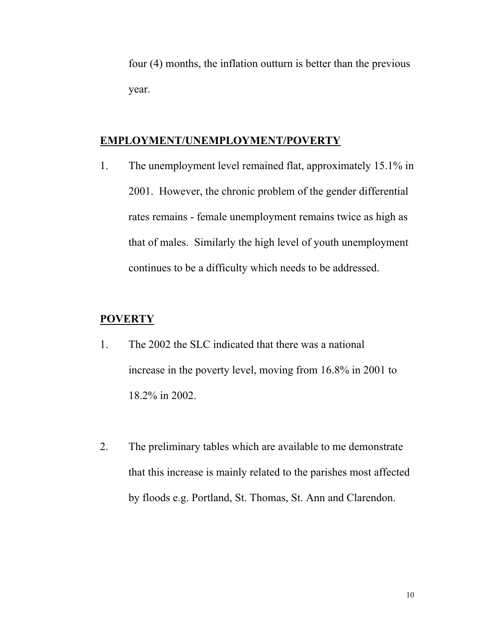four (4) months, the inflation outturn is better than the previous year.

#### **EMPLOYMENT/UNEMPLOYMENT/POVERTY**

1. The unemployment level remained flat, approximately 15.1% in 2001. However, the chronic problem of the gender differential rates remains - female unemployment remains twice as high as that of males. Similarly the high level of youth unemployment continues to be a difficulty which needs to be addressed.

## **POVERTY**

- 1. The 2002 the SLC indicated that there was a national increase in the poverty level, moving from 16.8% in 2001 to 18.2% in 2002.
- 2. The preliminary tables which are available to me demonstrate that this increase is mainly related to the parishes most affected by floods e.g. Portland, St. Thomas, St. Ann and Clarendon.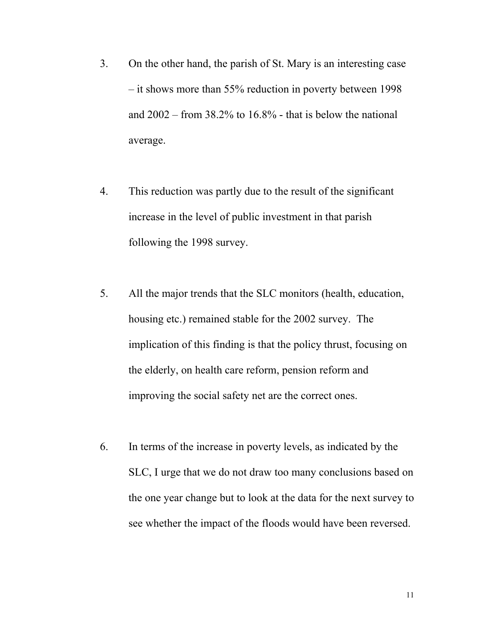- 3. On the other hand, the parish of St. Mary is an interesting case – it shows more than 55% reduction in poverty between 1998 and  $2002 -$  from  $38.2\%$  to  $16.8\%$  - that is below the national average.
- 4. This reduction was partly due to the result of the significant increase in the level of public investment in that parish following the 1998 survey.
- 5. All the major trends that the SLC monitors (health, education, housing etc.) remained stable for the 2002 survey. The implication of this finding is that the policy thrust, focusing on the elderly, on health care reform, pension reform and improving the social safety net are the correct ones.
- 6. In terms of the increase in poverty levels, as indicated by the SLC, I urge that we do not draw too many conclusions based on the one year change but to look at the data for the next survey to see whether the impact of the floods would have been reversed.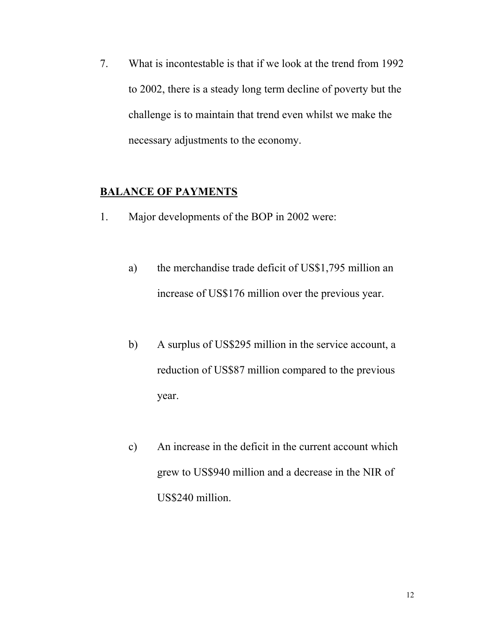7. What is incontestable is that if we look at the trend from 1992 to 2002, there is a steady long term decline of poverty but the challenge is to maintain that trend even whilst we make the necessary adjustments to the economy.

## **BALANCE OF PAYMENTS**

- 1. Major developments of the BOP in 2002 were:
	- a) the merchandise trade deficit of US\$1,795 million an increase of US\$176 million over the previous year.
	- b) A surplus of US\$295 million in the service account, a reduction of US\$87 million compared to the previous year.
	- c) An increase in the deficit in the current account which grew to US\$940 million and a decrease in the NIR of US\$240 million.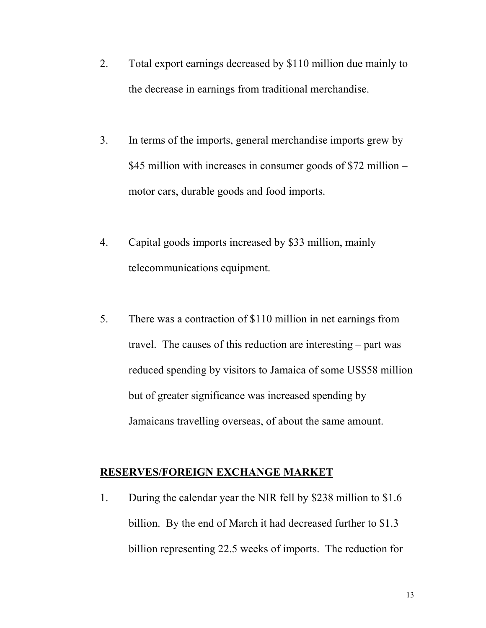- 2. Total export earnings decreased by \$110 million due mainly to the decrease in earnings from traditional merchandise.
- 3. In terms of the imports, general merchandise imports grew by \$45 million with increases in consumer goods of \$72 million – motor cars, durable goods and food imports.
- 4. Capital goods imports increased by \$33 million, mainly telecommunications equipment.
- 5. There was a contraction of \$110 million in net earnings from travel. The causes of this reduction are interesting – part was reduced spending by visitors to Jamaica of some US\$58 million but of greater significance was increased spending by Jamaicans travelling overseas, of about the same amount.

### **RESERVES/FOREIGN EXCHANGE MARKET**

1. During the calendar year the NIR fell by \$238 million to \$1.6 billion. By the end of March it had decreased further to \$1.3 billion representing 22.5 weeks of imports. The reduction for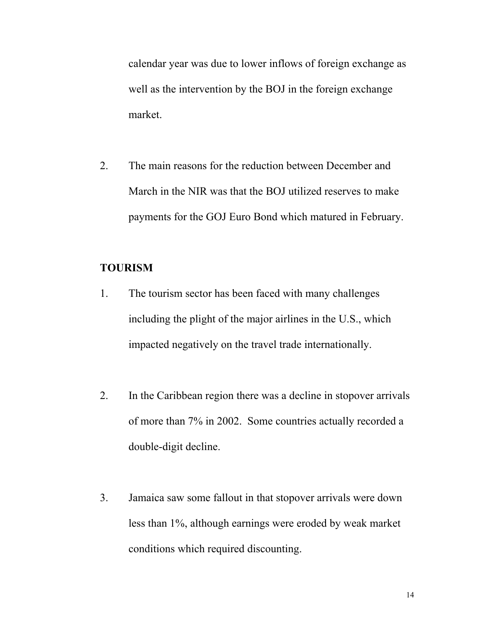calendar year was due to lower inflows of foreign exchange as well as the intervention by the BOJ in the foreign exchange market.

2. The main reasons for the reduction between December and March in the NIR was that the BOJ utilized reserves to make payments for the GOJ Euro Bond which matured in February.

## **TOURISM**

- 1. The tourism sector has been faced with many challenges including the plight of the major airlines in the U.S., which impacted negatively on the travel trade internationally.
- 2. In the Caribbean region there was a decline in stopover arrivals of more than 7% in 2002. Some countries actually recorded a double-digit decline.
- 3. Jamaica saw some fallout in that stopover arrivals were down less than 1%, although earnings were eroded by weak market conditions which required discounting.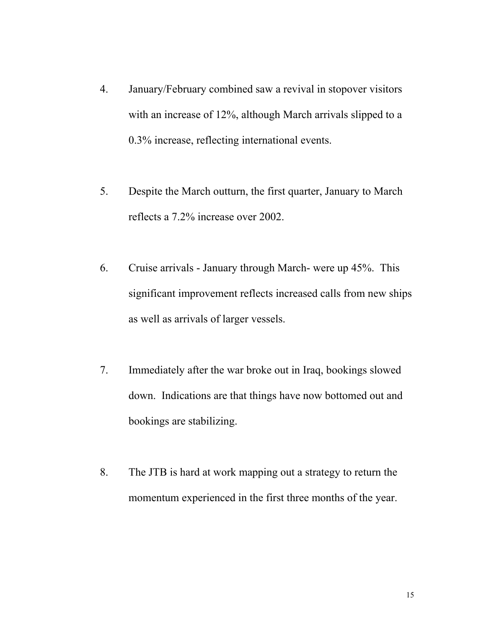- 4. January/February combined saw a revival in stopover visitors with an increase of 12%, although March arrivals slipped to a 0.3% increase, reflecting international events.
- 5. Despite the March outturn, the first quarter, January to March reflects a 7.2% increase over 2002.
- 6. Cruise arrivals January through March- were up 45%. This significant improvement reflects increased calls from new ships as well as arrivals of larger vessels.
- 7. Immediately after the war broke out in Iraq, bookings slowed down. Indications are that things have now bottomed out and bookings are stabilizing.
- 8. The JTB is hard at work mapping out a strategy to return the momentum experienced in the first three months of the year.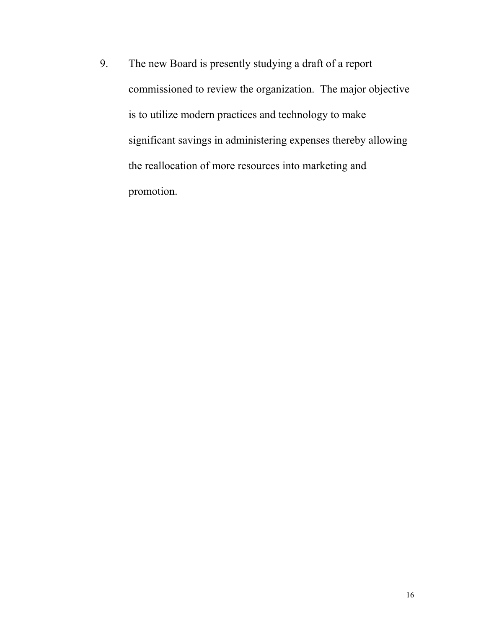9. The new Board is presently studying a draft of a report commissioned to review the organization. The major objective is to utilize modern practices and technology to make significant savings in administering expenses thereby allowing the reallocation of more resources into marketing and promotion.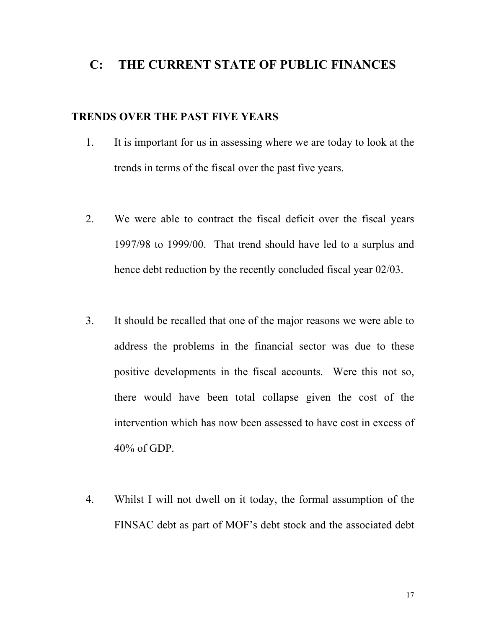# **C: THE CURRENT STATE OF PUBLIC FINANCES**

#### **TRENDS OVER THE PAST FIVE YEARS**

- 1. It is important for us in assessing where we are today to look at the trends in terms of the fiscal over the past five years.
- 2. We were able to contract the fiscal deficit over the fiscal years 1997/98 to 1999/00. That trend should have led to a surplus and hence debt reduction by the recently concluded fiscal year 02/03.
- 3. It should be recalled that one of the major reasons we were able to address the problems in the financial sector was due to these positive developments in the fiscal accounts. Were this not so, there would have been total collapse given the cost of the intervention which has now been assessed to have cost in excess of 40% of GDP.
- 4. Whilst I will not dwell on it today, the formal assumption of the FINSAC debt as part of MOF's debt stock and the associated debt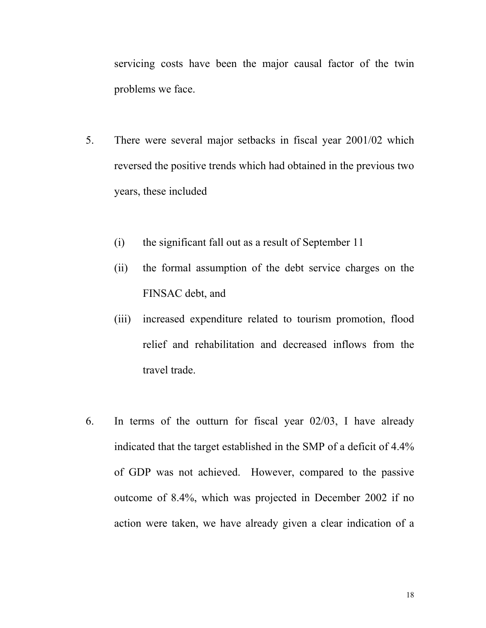servicing costs have been the major causal factor of the twin problems we face.

- 5. There were several major setbacks in fiscal year 2001/02 which reversed the positive trends which had obtained in the previous two years, these included
	- (i) the significant fall out as a result of September 11
	- (ii) the formal assumption of the debt service charges on the FINSAC debt, and
	- (iii) increased expenditure related to tourism promotion, flood relief and rehabilitation and decreased inflows from the travel trade.
- 6. In terms of the outturn for fiscal year 02/03, I have already indicated that the target established in the SMP of a deficit of 4.4% of GDP was not achieved. However, compared to the passive outcome of 8.4%, which was projected in December 2002 if no action were taken, we have already given a clear indication of a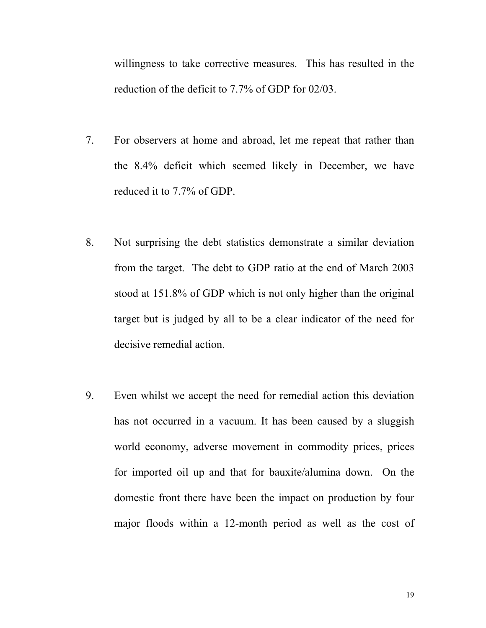willingness to take corrective measures. This has resulted in the reduction of the deficit to 7.7% of GDP for 02/03.

- 7. For observers at home and abroad, let me repeat that rather than the 8.4% deficit which seemed likely in December, we have reduced it to 7.7% of GDP.
- 8. Not surprising the debt statistics demonstrate a similar deviation from the target. The debt to GDP ratio at the end of March 2003 stood at 151.8% of GDP which is not only higher than the original target but is judged by all to be a clear indicator of the need for decisive remedial action.
- 9. Even whilst we accept the need for remedial action this deviation has not occurred in a vacuum. It has been caused by a sluggish world economy, adverse movement in commodity prices, prices for imported oil up and that for bauxite/alumina down. On the domestic front there have been the impact on production by four major floods within a 12-month period as well as the cost of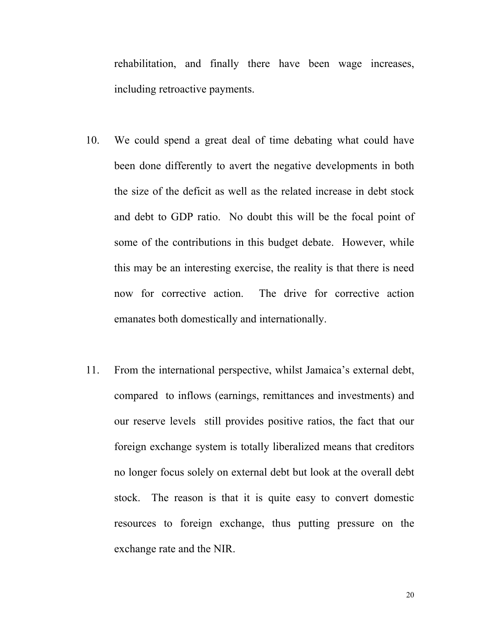rehabilitation, and finally there have been wage increases, including retroactive payments.

- 10. We could spend a great deal of time debating what could have been done differently to avert the negative developments in both the size of the deficit as well as the related increase in debt stock and debt to GDP ratio. No doubt this will be the focal point of some of the contributions in this budget debate. However, while this may be an interesting exercise, the reality is that there is need now for corrective action. The drive for corrective action emanates both domestically and internationally.
- 11. From the international perspective, whilst Jamaica's external debt, compared to inflows (earnings, remittances and investments) and our reserve levels still provides positive ratios, the fact that our foreign exchange system is totally liberalized means that creditors no longer focus solely on external debt but look at the overall debt stock. The reason is that it is quite easy to convert domestic resources to foreign exchange, thus putting pressure on the exchange rate and the NIR.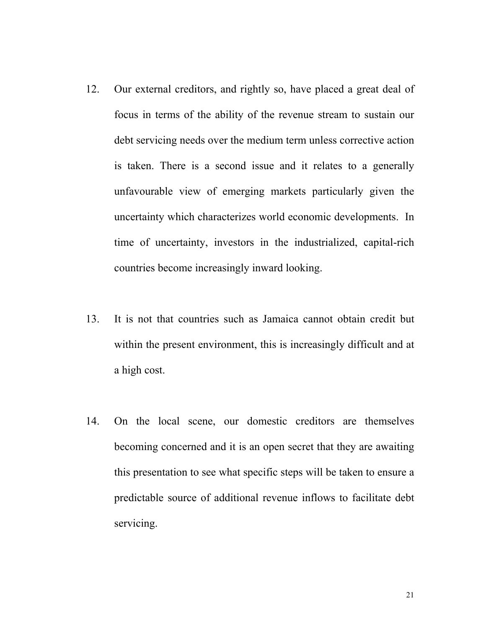- 12. Our external creditors, and rightly so, have placed a great deal of focus in terms of the ability of the revenue stream to sustain our debt servicing needs over the medium term unless corrective action is taken. There is a second issue and it relates to a generally unfavourable view of emerging markets particularly given the uncertainty which characterizes world economic developments. In time of uncertainty, investors in the industrialized, capital-rich countries become increasingly inward looking.
- 13. It is not that countries such as Jamaica cannot obtain credit but within the present environment, this is increasingly difficult and at a high cost.
- 14. On the local scene, our domestic creditors are themselves becoming concerned and it is an open secret that they are awaiting this presentation to see what specific steps will be taken to ensure a predictable source of additional revenue inflows to facilitate debt servicing.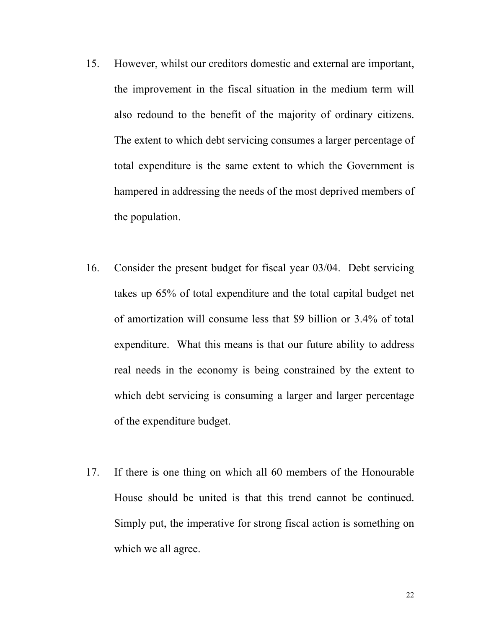- 15. However, whilst our creditors domestic and external are important, the improvement in the fiscal situation in the medium term will also redound to the benefit of the majority of ordinary citizens. The extent to which debt servicing consumes a larger percentage of total expenditure is the same extent to which the Government is hampered in addressing the needs of the most deprived members of the population.
- 16. Consider the present budget for fiscal year 03/04. Debt servicing takes up 65% of total expenditure and the total capital budget net of amortization will consume less that \$9 billion or 3.4% of total expenditure. What this means is that our future ability to address real needs in the economy is being constrained by the extent to which debt servicing is consuming a larger and larger percentage of the expenditure budget.
- 17. If there is one thing on which all 60 members of the Honourable House should be united is that this trend cannot be continued. Simply put, the imperative for strong fiscal action is something on which we all agree.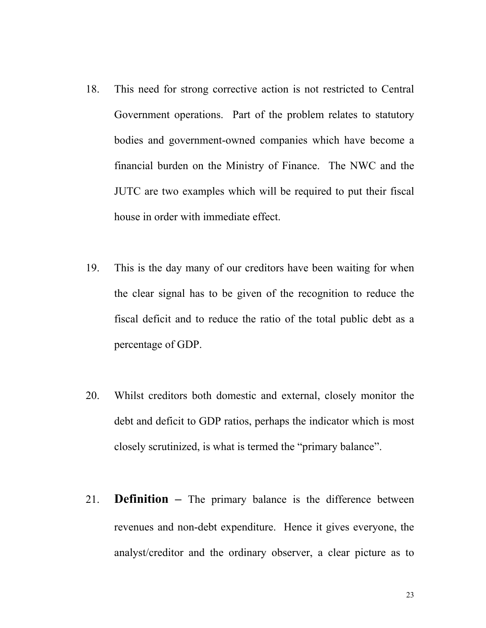- 18. This need for strong corrective action is not restricted to Central Government operations. Part of the problem relates to statutory bodies and government-owned companies which have become a financial burden on the Ministry of Finance. The NWC and the JUTC are two examples which will be required to put their fiscal house in order with immediate effect.
- 19. This is the day many of our creditors have been waiting for when the clear signal has to be given of the recognition to reduce the fiscal deficit and to reduce the ratio of the total public debt as a percentage of GDP.
- 20. Whilst creditors both domestic and external, closely monitor the debt and deficit to GDP ratios, perhaps the indicator which is most closely scrutinized, is what is termed the "primary balance".
- 21. **Definition** The primary balance is the difference between revenues and non-debt expenditure. Hence it gives everyone, the analyst/creditor and the ordinary observer, a clear picture as to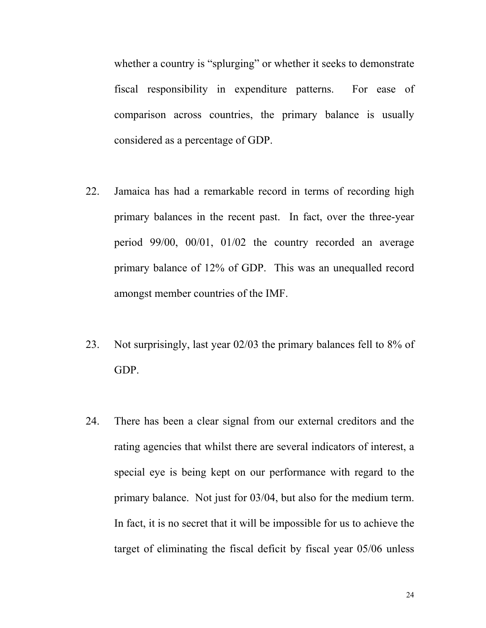whether a country is "splurging" or whether it seeks to demonstrate fiscal responsibility in expenditure patterns. For ease of comparison across countries, the primary balance is usually considered as a percentage of GDP.

- 22. Jamaica has had a remarkable record in terms of recording high primary balances in the recent past. In fact, over the three-year period 99/00, 00/01, 01/02 the country recorded an average primary balance of 12% of GDP. This was an unequalled record amongst member countries of the IMF.
- 23. Not surprisingly, last year 02/03 the primary balances fell to 8% of GDP.
- 24. There has been a clear signal from our external creditors and the rating agencies that whilst there are several indicators of interest, a special eye is being kept on our performance with regard to the primary balance. Not just for 03/04, but also for the medium term. In fact, it is no secret that it will be impossible for us to achieve the target of eliminating the fiscal deficit by fiscal year 05/06 unless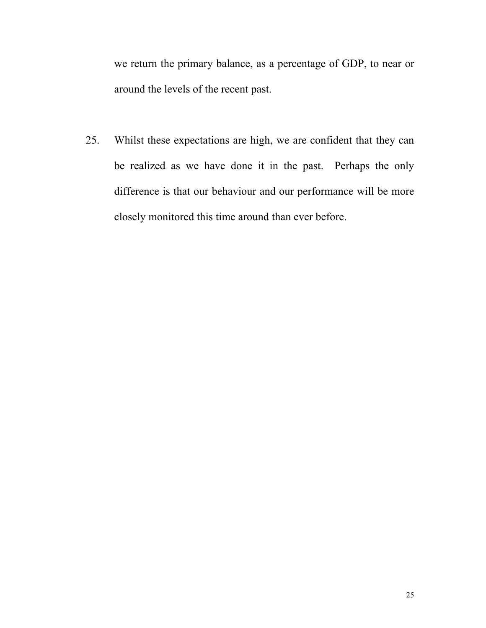we return the primary balance, as a percentage of GDP, to near or around the levels of the recent past.

25. Whilst these expectations are high, we are confident that they can be realized as we have done it in the past. Perhaps the only difference is that our behaviour and our performance will be more closely monitored this time around than ever before.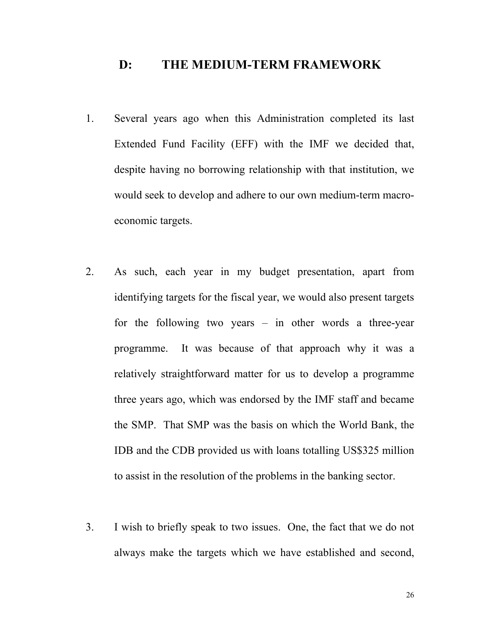# **D: THE MEDIUM-TERM FRAMEWORK**

- 1. Several years ago when this Administration completed its last Extended Fund Facility (EFF) with the IMF we decided that, despite having no borrowing relationship with that institution, we would seek to develop and adhere to our own medium-term macroeconomic targets.
- 2. As such, each year in my budget presentation, apart from identifying targets for the fiscal year, we would also present targets for the following two years – in other words a three-year programme. It was because of that approach why it was a relatively straightforward matter for us to develop a programme three years ago, which was endorsed by the IMF staff and became the SMP. That SMP was the basis on which the World Bank, the IDB and the CDB provided us with loans totalling US\$325 million to assist in the resolution of the problems in the banking sector.
- 3. I wish to briefly speak to two issues. One, the fact that we do not always make the targets which we have established and second,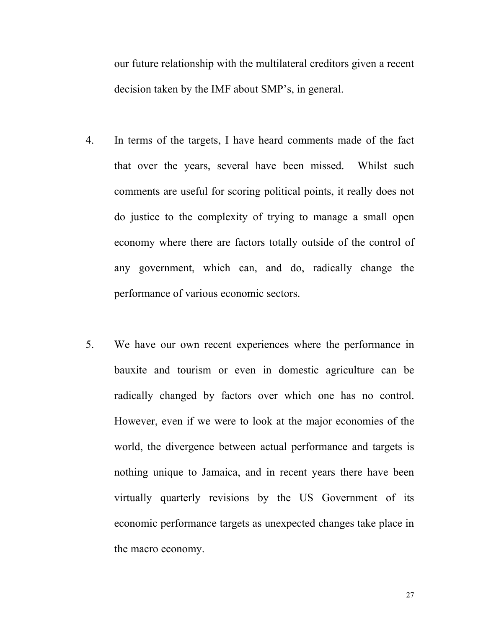our future relationship with the multilateral creditors given a recent decision taken by the IMF about SMP's, in general.

- 4. In terms of the targets, I have heard comments made of the fact that over the years, several have been missed. Whilst such comments are useful for scoring political points, it really does not do justice to the complexity of trying to manage a small open economy where there are factors totally outside of the control of any government, which can, and do, radically change the performance of various economic sectors.
- 5. We have our own recent experiences where the performance in bauxite and tourism or even in domestic agriculture can be radically changed by factors over which one has no control. However, even if we were to look at the major economies of the world, the divergence between actual performance and targets is nothing unique to Jamaica, and in recent years there have been virtually quarterly revisions by the US Government of its economic performance targets as unexpected changes take place in the macro economy.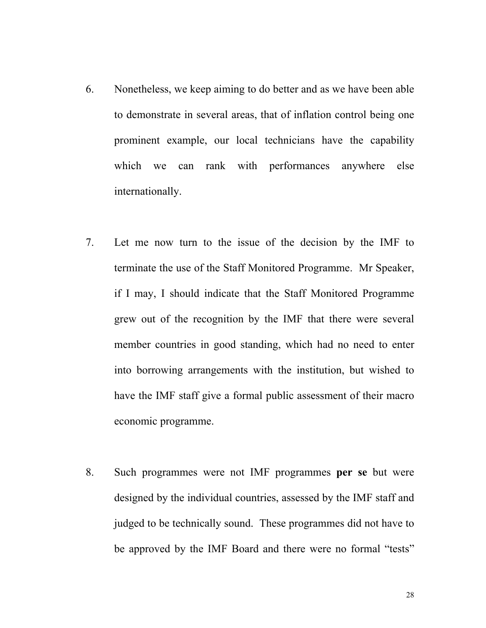- 6. Nonetheless, we keep aiming to do better and as we have been able to demonstrate in several areas, that of inflation control being one prominent example, our local technicians have the capability which we can rank with performances anywhere else internationally.
- 7. Let me now turn to the issue of the decision by the IMF to terminate the use of the Staff Monitored Programme. Mr Speaker, if I may, I should indicate that the Staff Monitored Programme grew out of the recognition by the IMF that there were several member countries in good standing, which had no need to enter into borrowing arrangements with the institution, but wished to have the IMF staff give a formal public assessment of their macro economic programme.
- 8. Such programmes were not IMF programmes **per se** but were designed by the individual countries, assessed by the IMF staff and judged to be technically sound. These programmes did not have to be approved by the IMF Board and there were no formal "tests"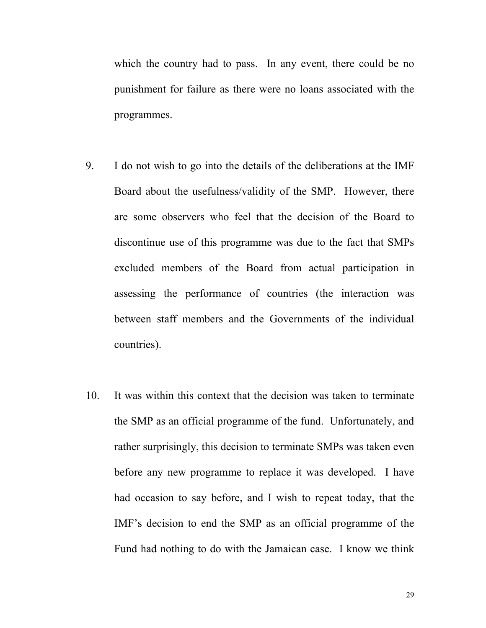which the country had to pass. In any event, there could be no punishment for failure as there were no loans associated with the programmes.

- 9. I do not wish to go into the details of the deliberations at the IMF Board about the usefulness/validity of the SMP. However, there are some observers who feel that the decision of the Board to discontinue use of this programme was due to the fact that SMPs excluded members of the Board from actual participation in assessing the performance of countries (the interaction was between staff members and the Governments of the individual countries).
- 10. It was within this context that the decision was taken to terminate the SMP as an official programme of the fund. Unfortunately, and rather surprisingly, this decision to terminate SMPs was taken even before any new programme to replace it was developed. I have had occasion to say before, and I wish to repeat today, that the IMF's decision to end the SMP as an official programme of the Fund had nothing to do with the Jamaican case. I know we think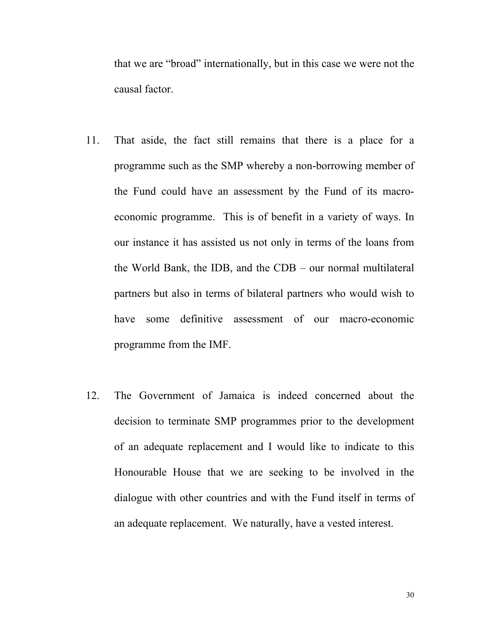that we are "broad" internationally, but in this case we were not the causal factor.

- 11. That aside, the fact still remains that there is a place for a programme such as the SMP whereby a non-borrowing member of the Fund could have an assessment by the Fund of its macroeconomic programme. This is of benefit in a variety of ways. In our instance it has assisted us not only in terms of the loans from the World Bank, the IDB, and the CDB – our normal multilateral partners but also in terms of bilateral partners who would wish to have some definitive assessment of our macro-economic programme from the IMF.
- 12. The Government of Jamaica is indeed concerned about the decision to terminate SMP programmes prior to the development of an adequate replacement and I would like to indicate to this Honourable House that we are seeking to be involved in the dialogue with other countries and with the Fund itself in terms of an adequate replacement. We naturally, have a vested interest.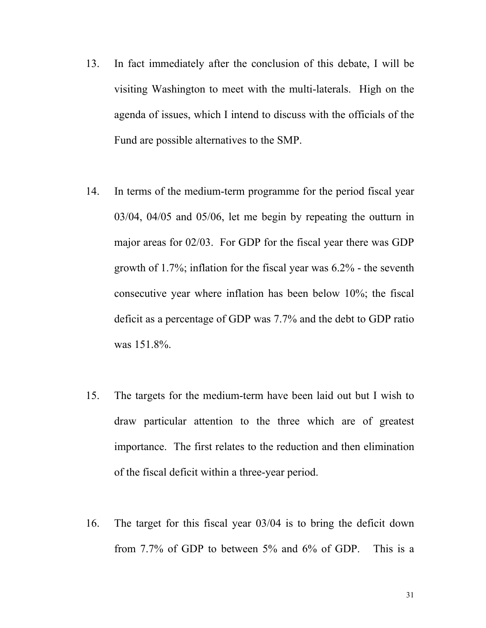- 13. In fact immediately after the conclusion of this debate, I will be visiting Washington to meet with the multi-laterals. High on the agenda of issues, which I intend to discuss with the officials of the Fund are possible alternatives to the SMP.
- 14. In terms of the medium-term programme for the period fiscal year 03/04, 04/05 and 05/06, let me begin by repeating the outturn in major areas for 02/03. For GDP for the fiscal year there was GDP growth of 1.7%; inflation for the fiscal year was 6.2% - the seventh consecutive year where inflation has been below 10%; the fiscal deficit as a percentage of GDP was 7.7% and the debt to GDP ratio was 151.8%.
- 15. The targets for the medium-term have been laid out but I wish to draw particular attention to the three which are of greatest importance. The first relates to the reduction and then elimination of the fiscal deficit within a three-year period.
- 16. The target for this fiscal year 03/04 is to bring the deficit down from 7.7% of GDP to between 5% and 6% of GDP. This is a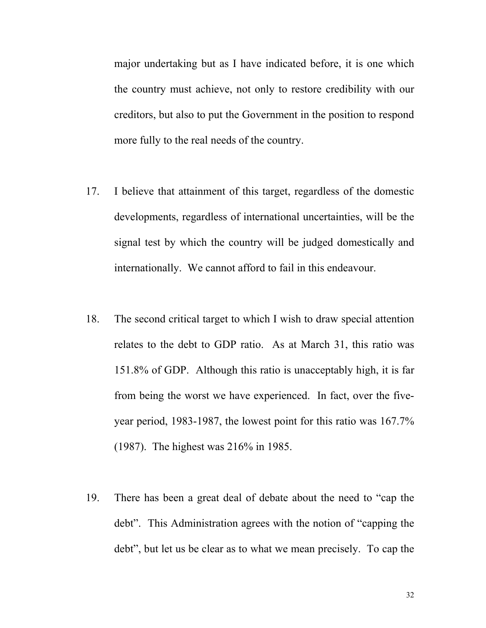major undertaking but as I have indicated before, it is one which the country must achieve, not only to restore credibility with our creditors, but also to put the Government in the position to respond more fully to the real needs of the country.

- 17. I believe that attainment of this target, regardless of the domestic developments, regardless of international uncertainties, will be the signal test by which the country will be judged domestically and internationally. We cannot afford to fail in this endeavour.
- 18. The second critical target to which I wish to draw special attention relates to the debt to GDP ratio. As at March 31, this ratio was 151.8% of GDP. Although this ratio is unacceptably high, it is far from being the worst we have experienced. In fact, over the fiveyear period, 1983-1987, the lowest point for this ratio was 167.7% (1987). The highest was 216% in 1985.
- 19. There has been a great deal of debate about the need to "cap the debt". This Administration agrees with the notion of "capping the debt", but let us be clear as to what we mean precisely. To cap the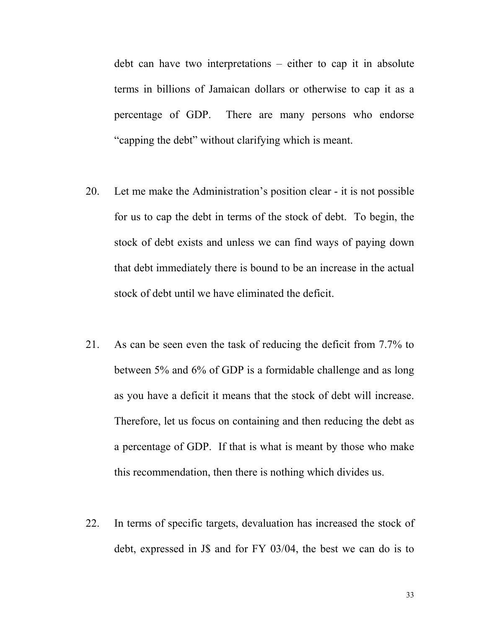debt can have two interpretations – either to cap it in absolute terms in billions of Jamaican dollars or otherwise to cap it as a percentage of GDP. There are many persons who endorse "capping the debt" without clarifying which is meant.

- 20. Let me make the Administration's position clear it is not possible for us to cap the debt in terms of the stock of debt. To begin, the stock of debt exists and unless we can find ways of paying down that debt immediately there is bound to be an increase in the actual stock of debt until we have eliminated the deficit.
- 21. As can be seen even the task of reducing the deficit from 7.7% to between 5% and 6% of GDP is a formidable challenge and as long as you have a deficit it means that the stock of debt will increase. Therefore, let us focus on containing and then reducing the debt as a percentage of GDP. If that is what is meant by those who make this recommendation, then there is nothing which divides us.
- 22. In terms of specific targets, devaluation has increased the stock of debt, expressed in J\$ and for FY 03/04, the best we can do is to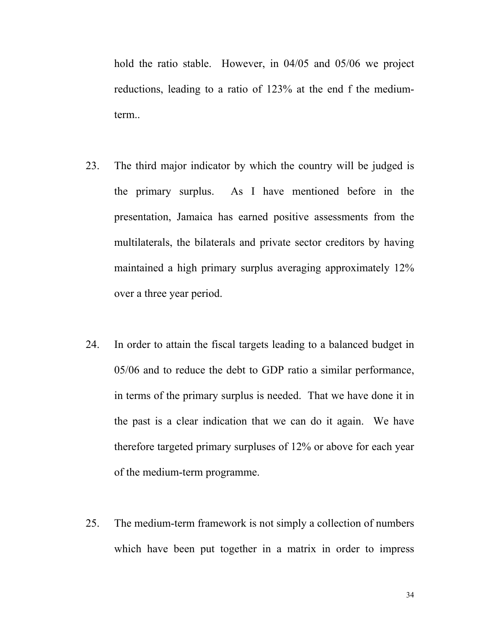hold the ratio stable. However, in 04/05 and 05/06 we project reductions, leading to a ratio of 123% at the end f the mediumterm..

- 23. The third major indicator by which the country will be judged is the primary surplus. As I have mentioned before in the presentation, Jamaica has earned positive assessments from the multilaterals, the bilaterals and private sector creditors by having maintained a high primary surplus averaging approximately 12% over a three year period.
- 24. In order to attain the fiscal targets leading to a balanced budget in 05/06 and to reduce the debt to GDP ratio a similar performance, in terms of the primary surplus is needed. That we have done it in the past is a clear indication that we can do it again. We have therefore targeted primary surpluses of 12% or above for each year of the medium-term programme.
- 25. The medium-term framework is not simply a collection of numbers which have been put together in a matrix in order to impress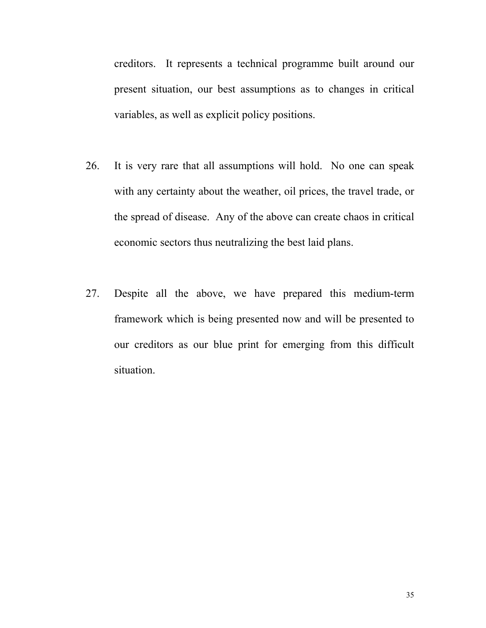creditors. It represents a technical programme built around our present situation, our best assumptions as to changes in critical variables, as well as explicit policy positions.

- 26. It is very rare that all assumptions will hold. No one can speak with any certainty about the weather, oil prices, the travel trade, or the spread of disease. Any of the above can create chaos in critical economic sectors thus neutralizing the best laid plans.
- 27. Despite all the above, we have prepared this medium-term framework which is being presented now and will be presented to our creditors as our blue print for emerging from this difficult situation.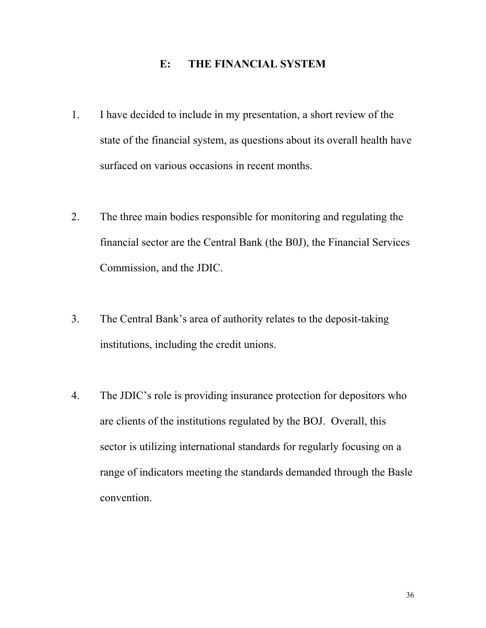#### **E: THE FINANCIAL SYSTEM**

- 1. I have decided to include in my presentation, a short review of the state of the financial system, as questions about its overall health have surfaced on various occasions in recent months.
- 2. The three main bodies responsible for monitoring and regulating the financial sector are the Central Bank (the B0J), the Financial Services Commission, and the JDIC.
- 3. The Central Bank's area of authority relates to the deposit-taking institutions, including the credit unions.
- 4. The JDIC's role is providing insurance protection for depositors who are clients of the institutions regulated by the BOJ.Overall, this sector is utilizing international standards for regularly focusing on a range of indicators meeting the standards demanded through the Basle convention.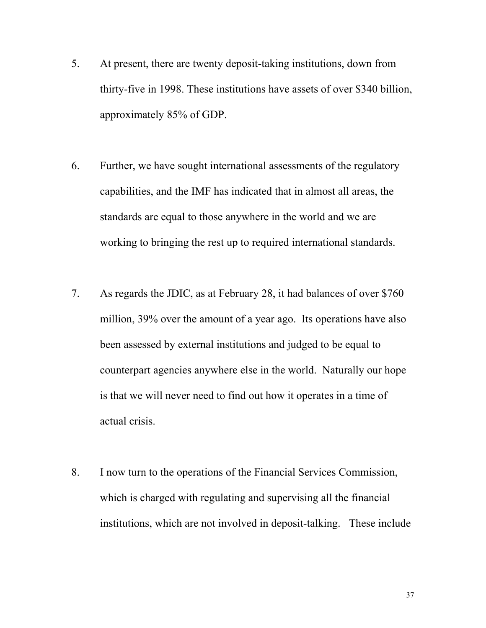- 5. At present, there are twenty deposit-taking institutions, down from thirty-five in 1998. These institutions have assets of over \$340 billion, approximately 85% of GDP.
- 6. Further, we have sought international assessments of the regulatory capabilities, and the IMF has indicated that in almost all areas, the standards are equal to those anywhere in the world and we are working to bringing the rest up to required international standards.
- 7. As regards the JDIC, as at February 28, it had balances of over \$760 million, 39% over the amount of a year ago. Its operations have also been assessed by external institutions and judged to be equal to counterpart agencies anywhere else in the world. Naturally our hope is that we will never need to find out how it operates in a time of actual crisis.
- 8. I now turn to the operations of the Financial Services Commission, which is charged with regulating and supervising all the financial institutions, which are not involved in deposit-talking. These include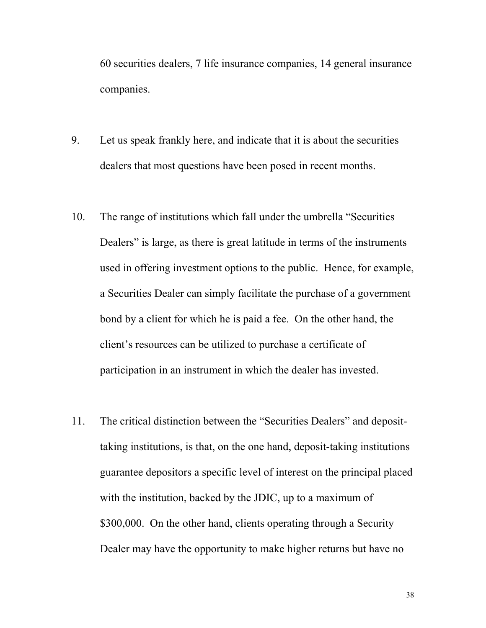60 securities dealers, 7 life insurance companies, 14 general insurance companies.

- 9. Let us speak frankly here, and indicate that it is about the securities dealers that most questions have been posed in recent months.
- 10. The range of institutions which fall under the umbrella "Securities Dealers" is large, as there is great latitude in terms of the instruments used in offering investment options to the public. Hence, for example, a Securities Dealer can simply facilitate the purchase of a government bond by a client for which he is paid a fee. On the other hand, the client's resources can be utilized to purchase a certificate of participation in an instrument in which the dealer has invested.
- 11. The critical distinction between the "Securities Dealers" and deposittaking institutions, is that, on the one hand, deposit-taking institutions guarantee depositors a specific level of interest on the principal placed with the institution, backed by the JDIC, up to a maximum of \$300,000. On the other hand, clients operating through a Security Dealer may have the opportunity to make higher returns but have no
	- 38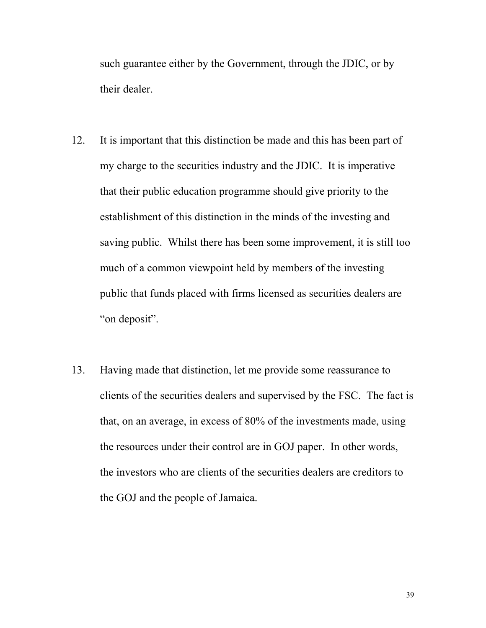such guarantee either by the Government, through the JDIC, or by their dealer.

- 12. It is important that this distinction be made and this has been part of my charge to the securities industry and the JDIC. It is imperative that their public education programme should give priority to the establishment of this distinction in the minds of the investing and saving public. Whilst there has been some improvement, it is still too much of a common viewpoint held by members of the investing public that funds placed with firms licensed as securities dealers are "on deposit".
- 13. Having made that distinction, let me provide some reassurance to clients of the securities dealers and supervised by the FSC. The fact is that, on an average, in excess of 80% of the investments made, using the resources under their control are in GOJ paper. In other words, the investors who are clients of the securities dealers are creditors to the GOJ and the people of Jamaica.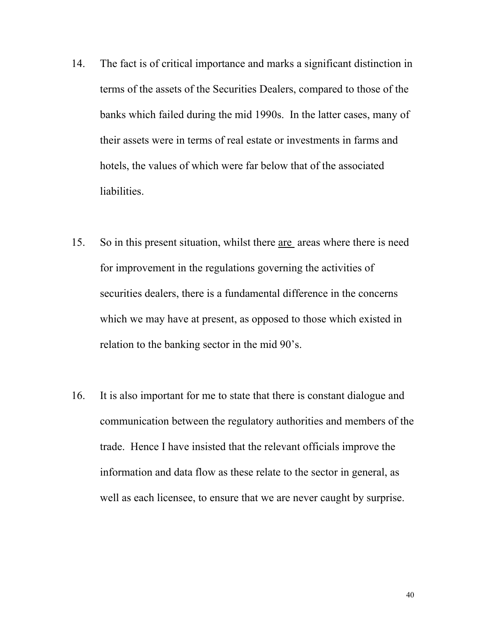- 14. The fact is of critical importance and marks a significant distinction in terms of the assets of the Securities Dealers, compared to those of the banks which failed during the mid 1990s. In the latter cases, many of their assets were in terms of real estate or investments in farms and hotels, the values of which were far below that of the associated liabilities.
- 15. So in this present situation, whilst there are areas where there is need for improvement in the regulations governing the activities of securities dealers, there is a fundamental difference in the concerns which we may have at present, as opposed to those which existed in relation to the banking sector in the mid 90's.
- 16. It is also important for me to state that there is constant dialogue and communication between the regulatory authorities and members of the trade. Hence I have insisted that the relevant officials improve the information and data flow as these relate to the sector in general, as well as each licensee, to ensure that we are never caught by surprise.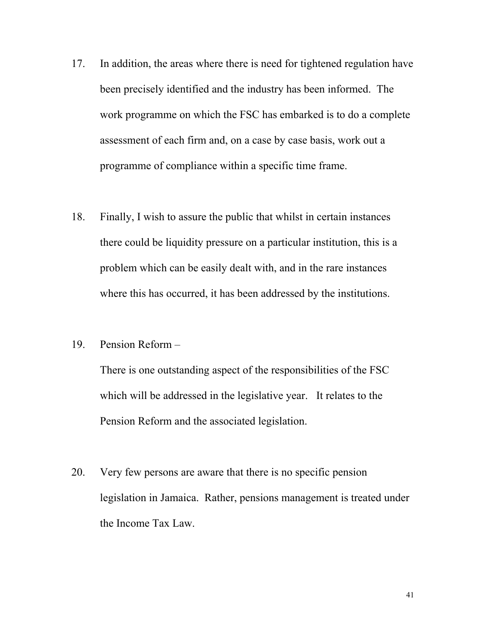- 17. In addition, the areas where there is need for tightened regulation have been precisely identified and the industry has been informed. The work programme on which the FSC has embarked is to do a complete assessment of each firm and, on a case by case basis, work out a programme of compliance within a specific time frame.
- 18. Finally, I wish to assure the public that whilst in certain instances there could be liquidity pressure on a particular institution, this is a problem which can be easily dealt with, and in the rare instances where this has occurred, it has been addressed by the institutions.
- 19. Pension Reform –

There is one outstanding aspect of the responsibilities of the FSC which will be addressed in the legislative year. It relates to the Pension Reform and the associated legislation.

20. Very few persons are aware that there is no specific pension legislation in Jamaica. Rather, pensions management is treated under the Income Tax Law.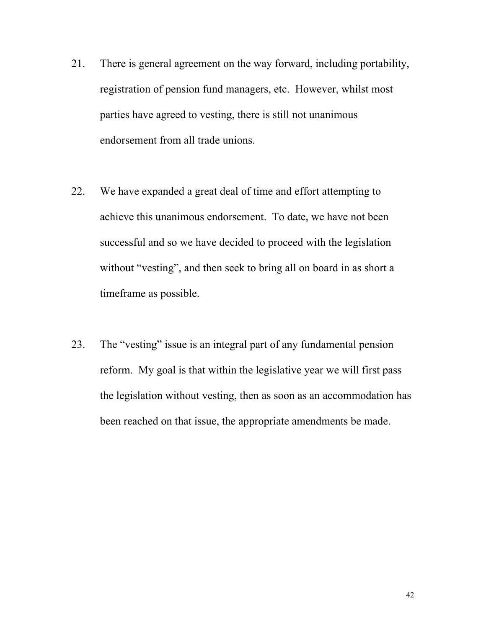- 21. There is general agreement on the way forward, including portability, registration of pension fund managers, etc. However, whilst most parties have agreed to vesting, there is still not unanimous endorsement from all trade unions.
- 22. We have expanded a great deal of time and effort attempting to achieve this unanimous endorsement. To date, we have not been successful and so we have decided to proceed with the legislation without "vesting", and then seek to bring all on board in as short a timeframe as possible.
- 23. The "vesting" issue is an integral part of any fundamental pension reform. My goal is that within the legislative year we will first pass the legislation without vesting, then as soon as an accommodation has been reached on that issue, the appropriate amendments be made.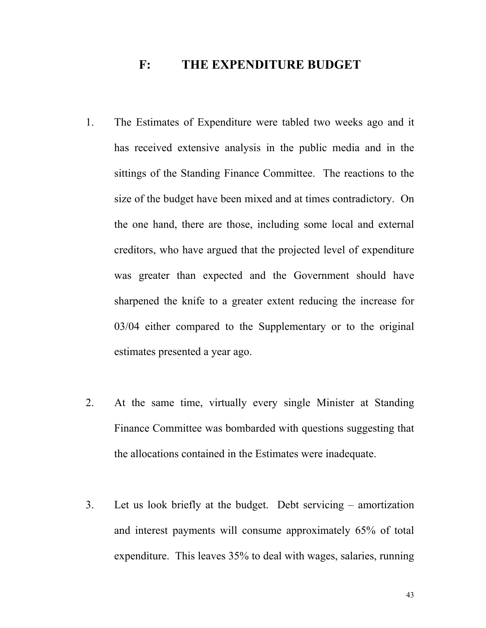## **F: THE EXPENDITURE BUDGET**

- 1. The Estimates of Expenditure were tabled two weeks ago and it has received extensive analysis in the public media and in the sittings of the Standing Finance Committee. The reactions to the size of the budget have been mixed and at times contradictory. On the one hand, there are those, including some local and external creditors, who have argued that the projected level of expenditure was greater than expected and the Government should have sharpened the knife to a greater extent reducing the increase for 03/04 either compared to the Supplementary or to the original estimates presented a year ago.
- 2. At the same time, virtually every single Minister at Standing Finance Committee was bombarded with questions suggesting that the allocations contained in the Estimates were inadequate.
- 3. Let us look briefly at the budget. Debt servicing amortization and interest payments will consume approximately 65% of total expenditure. This leaves 35% to deal with wages, salaries, running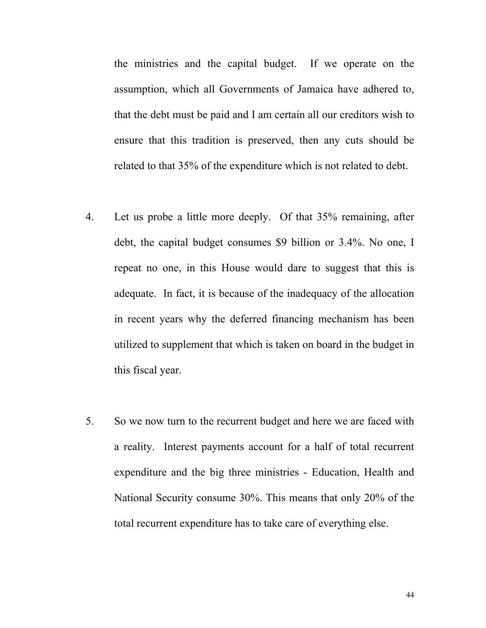the ministries and the capital budget. If we operate on the assumption, which all Governments of Jamaica have adhered to, that the debt must be paid and I am certain all our creditors wish to ensure that this tradition is preserved, then any cuts should be related to that 35% of the expenditure which is not related to debt.

- 4. Let us probe a little more deeply. Of that 35% remaining, after debt, the capital budget consumes \$9 billion or 3.4%. No one, I repeat no one, in this House would dare to suggest that this is adequate. In fact, it is because of the inadequacy of the allocation in recent years why the deferred financing mechanism has been utilized to supplement that which is taken on board in the budget in this fiscal year.
- 5. So we now turn to the recurrent budget and here we are faced with a reality. Interest payments account for a half of total recurrent expenditure and the big three ministries - Education, Health and National Security consume 30%. This means that only 20% of the total recurrent expenditure has to take care of everything else.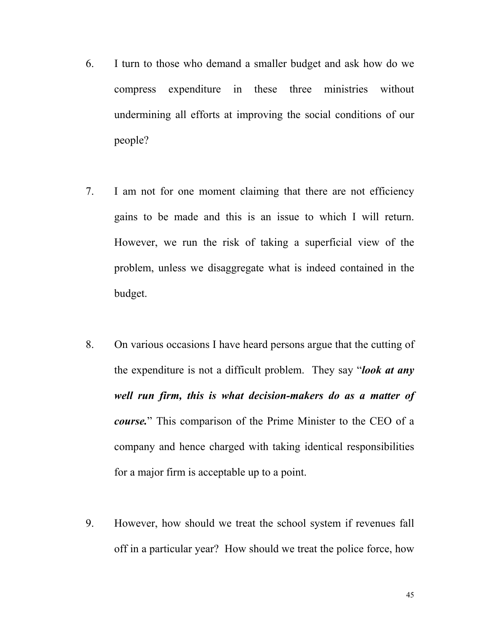- 6. I turn to those who demand a smaller budget and ask how do we compress expenditure in these three ministries without undermining all efforts at improving the social conditions of our people?
- 7. I am not for one moment claiming that there are not efficiency gains to be made and this is an issue to which I will return. However, we run the risk of taking a superficial view of the problem, unless we disaggregate what is indeed contained in the budget.
- 8. On various occasions I have heard persons argue that the cutting of the expenditure is not a difficult problem. They say "*look at any well run firm, this is what decision-makers do as a matter of course.*" This comparison of the Prime Minister to the CEO of a company and hence charged with taking identical responsibilities for a major firm is acceptable up to a point.
- 9. However, how should we treat the school system if revenues fall off in a particular year? How should we treat the police force, how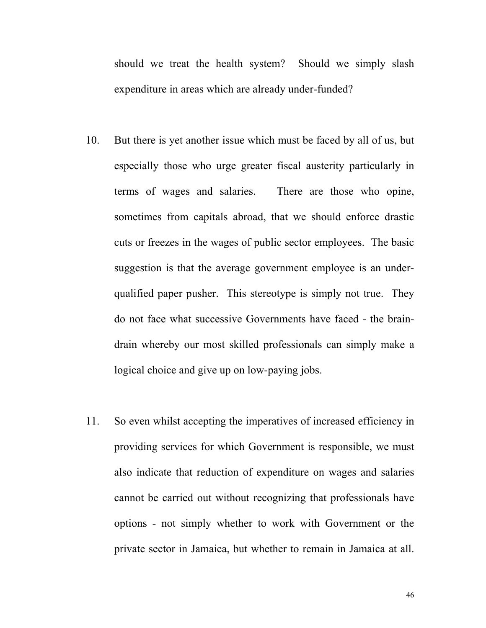should we treat the health system? Should we simply slash expenditure in areas which are already under-funded?

- 10. But there is yet another issue which must be faced by all of us, but especially those who urge greater fiscal austerity particularly in terms of wages and salaries. There are those who opine, sometimes from capitals abroad, that we should enforce drastic cuts or freezes in the wages of public sector employees. The basic suggestion is that the average government employee is an underqualified paper pusher. This stereotype is simply not true. They do not face what successive Governments have faced - the braindrain whereby our most skilled professionals can simply make a logical choice and give up on low-paying jobs.
- 11. So even whilst accepting the imperatives of increased efficiency in providing services for which Government is responsible, we must also indicate that reduction of expenditure on wages and salaries cannot be carried out without recognizing that professionals have options - not simply whether to work with Government or the private sector in Jamaica, but whether to remain in Jamaica at all.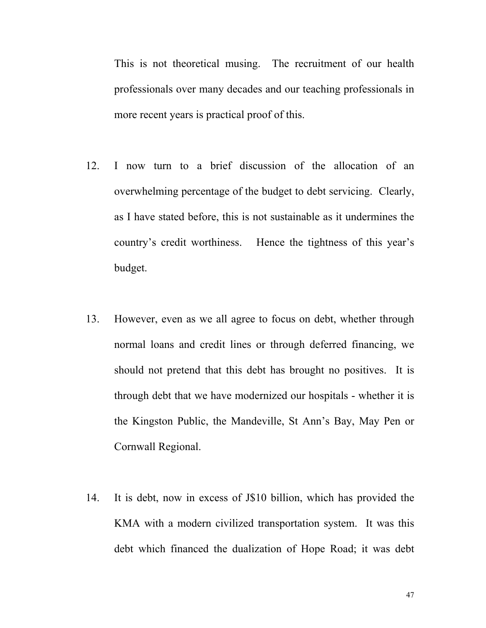This is not theoretical musing. The recruitment of our health professionals over many decades and our teaching professionals in more recent years is practical proof of this.

- 12. I now turn to a brief discussion of the allocation of an overwhelming percentage of the budget to debt servicing. Clearly, as I have stated before, this is not sustainable as it undermines the country's credit worthiness. Hence the tightness of this year's budget.
- 13. However, even as we all agree to focus on debt, whether through normal loans and credit lines or through deferred financing, we should not pretend that this debt has brought no positives. It is through debt that we have modernized our hospitals - whether it is the Kingston Public, the Mandeville, St Ann's Bay, May Pen or Cornwall Regional.
- 14. It is debt, now in excess of J\$10 billion, which has provided the KMA with a modern civilized transportation system. It was this debt which financed the dualization of Hope Road; it was debt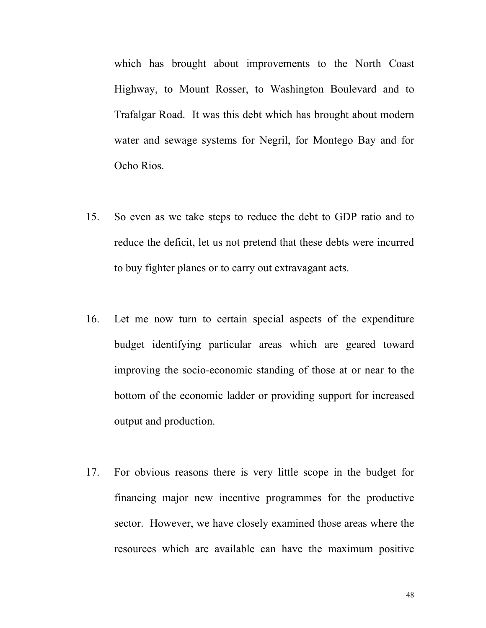which has brought about improvements to the North Coast Highway, to Mount Rosser, to Washington Boulevard and to Trafalgar Road. It was this debt which has brought about modern water and sewage systems for Negril, for Montego Bay and for Ocho Rios.

- 15. So even as we take steps to reduce the debt to GDP ratio and to reduce the deficit, let us not pretend that these debts were incurred to buy fighter planes or to carry out extravagant acts.
- 16. Let me now turn to certain special aspects of the expenditure budget identifying particular areas which are geared toward improving the socio-economic standing of those at or near to the bottom of the economic ladder or providing support for increased output and production.
- 17. For obvious reasons there is very little scope in the budget for financing major new incentive programmes for the productive sector. However, we have closely examined those areas where the resources which are available can have the maximum positive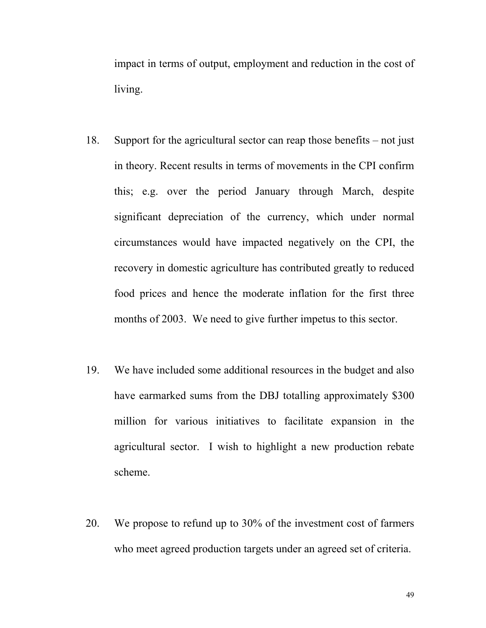impact in terms of output, employment and reduction in the cost of living.

- 18. Support for the agricultural sector can reap those benefits not just in theory. Recent results in terms of movements in the CPI confirm this; e.g. over the period January through March, despite significant depreciation of the currency, which under normal circumstances would have impacted negatively on the CPI, the recovery in domestic agriculture has contributed greatly to reduced food prices and hence the moderate inflation for the first three months of 2003. We need to give further impetus to this sector.
- 19. We have included some additional resources in the budget and also have earmarked sums from the DBJ totalling approximately \$300 million for various initiatives to facilitate expansion in the agricultural sector. I wish to highlight a new production rebate scheme.
- 20. We propose to refund up to 30% of the investment cost of farmers who meet agreed production targets under an agreed set of criteria.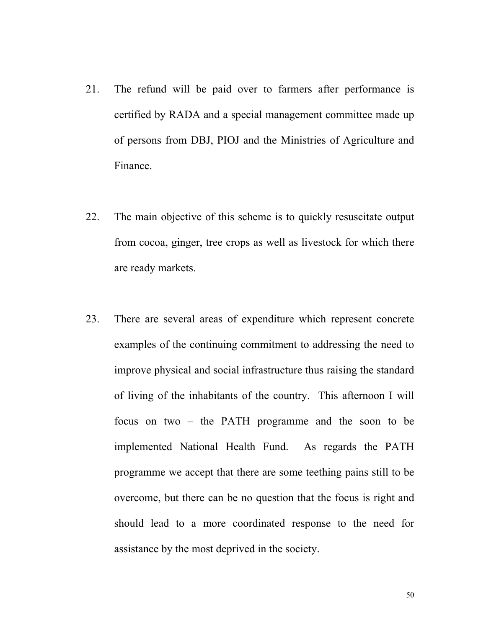- 21. The refund will be paid over to farmers after performance is certified by RADA and a special management committee made up of persons from DBJ, PIOJ and the Ministries of Agriculture and Finance.
- 22. The main objective of this scheme is to quickly resuscitate output from cocoa, ginger, tree crops as well as livestock for which there are ready markets.
- 23. There are several areas of expenditure which represent concrete examples of the continuing commitment to addressing the need to improve physical and social infrastructure thus raising the standard of living of the inhabitants of the country. This afternoon I will focus on two – the PATH programme and the soon to be implemented National Health Fund. As regards the PATH programme we accept that there are some teething pains still to be overcome, but there can be no question that the focus is right and should lead to a more coordinated response to the need for assistance by the most deprived in the society.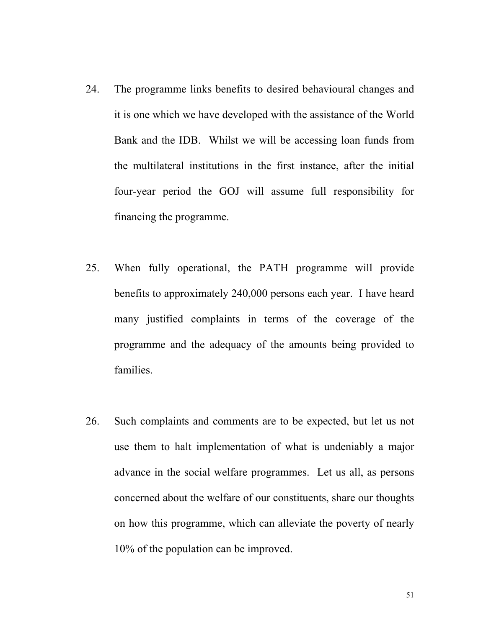- 24. The programme links benefits to desired behavioural changes and it is one which we have developed with the assistance of the World Bank and the IDB. Whilst we will be accessing loan funds from the multilateral institutions in the first instance, after the initial four-year period the GOJ will assume full responsibility for financing the programme.
- 25. When fully operational, the PATH programme will provide benefits to approximately 240,000 persons each year. I have heard many justified complaints in terms of the coverage of the programme and the adequacy of the amounts being provided to families.
- 26. Such complaints and comments are to be expected, but let us not use them to halt implementation of what is undeniably a major advance in the social welfare programmes. Let us all, as persons concerned about the welfare of our constituents, share our thoughts on how this programme, which can alleviate the poverty of nearly 10% of the population can be improved.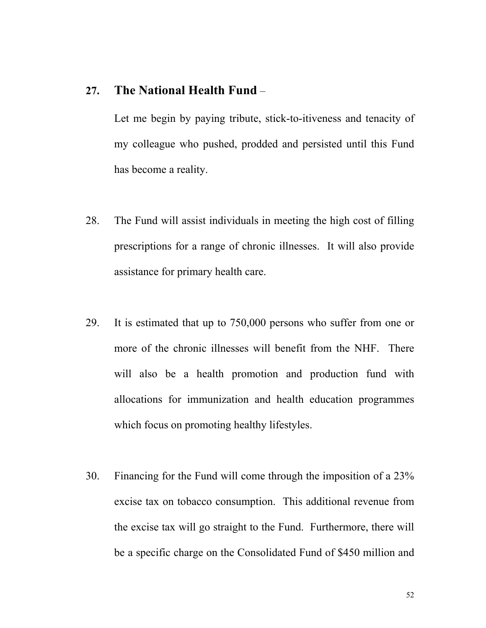## **27. The National Health Fund** –

Let me begin by paying tribute, stick-to-itiveness and tenacity of my colleague who pushed, prodded and persisted until this Fund has become a reality.

- 28. The Fund will assist individuals in meeting the high cost of filling prescriptions for a range of chronic illnesses. It will also provide assistance for primary health care.
- 29. It is estimated that up to 750,000 persons who suffer from one or more of the chronic illnesses will benefit from the NHF. There will also be a health promotion and production fund with allocations for immunization and health education programmes which focus on promoting healthy lifestyles.
- 30. Financing for the Fund will come through the imposition of a 23% excise tax on tobacco consumption. This additional revenue from the excise tax will go straight to the Fund. Furthermore, there will be a specific charge on the Consolidated Fund of \$450 million and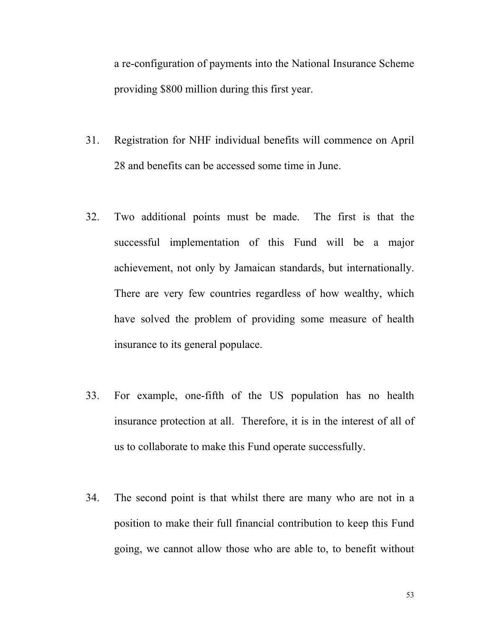a re-configuration of payments into the National Insurance Scheme providing \$800 million during this first year.

- 31. Registration for NHF individual benefits will commence on April 28 and benefits can be accessed some time in June.
- 32. Two additional points must be made. The first is that the successful implementation of this Fund will be a major achievement, not only by Jamaican standards, but internationally. There are very few countries regardless of how wealthy, which have solved the problem of providing some measure of health insurance to its general populace.
- 33. For example, one-fifth of the US population has no health insurance protection at all. Therefore, it is in the interest of all of us to collaborate to make this Fund operate successfully.
- 34. The second point is that whilst there are many who are not in a position to make their full financial contribution to keep this Fund going, we cannot allow those who are able to, to benefit without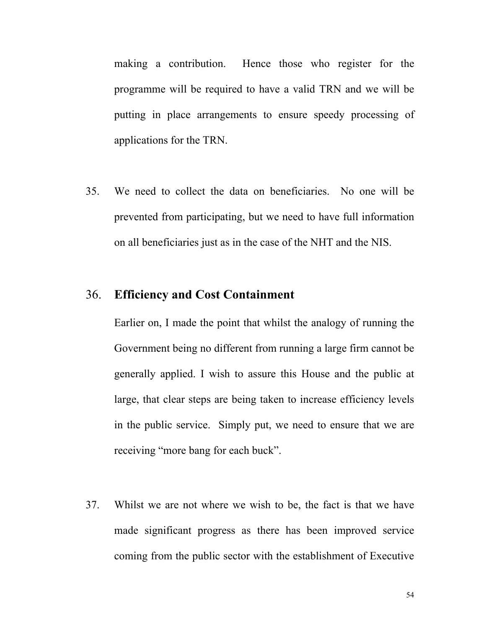making a contribution. Hence those who register for the programme will be required to have a valid TRN and we will be putting in place arrangements to ensure speedy processing of applications for the TRN.

35. We need to collect the data on beneficiaries. No one will be prevented from participating, but we need to have full information on all beneficiaries just as in the case of the NHT and the NIS.

## 36. **Efficiency and Cost Containment**

Earlier on, I made the point that whilst the analogy of running the Government being no different from running a large firm cannot be generally applied. I wish to assure this House and the public at large, that clear steps are being taken to increase efficiency levels in the public service. Simply put, we need to ensure that we are receiving "more bang for each buck".

37. Whilst we are not where we wish to be, the fact is that we have made significant progress as there has been improved service coming from the public sector with the establishment of Executive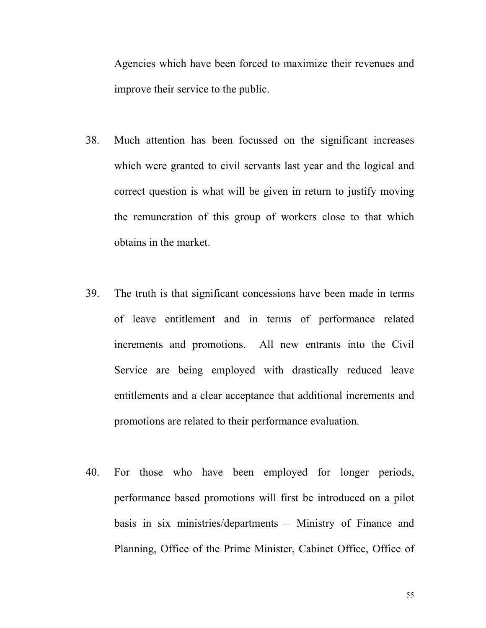Agencies which have been forced to maximize their revenues and improve their service to the public.

- 38. Much attention has been focussed on the significant increases which were granted to civil servants last year and the logical and correct question is what will be given in return to justify moving the remuneration of this group of workers close to that which obtains in the market.
- 39. The truth is that significant concessions have been made in terms of leave entitlement and in terms of performance related increments and promotions. All new entrants into the Civil Service are being employed with drastically reduced leave entitlements and a clear acceptance that additional increments and promotions are related to their performance evaluation.
- 40. For those who have been employed for longer periods, performance based promotions will first be introduced on a pilot basis in six ministries/departments – Ministry of Finance and Planning, Office of the Prime Minister, Cabinet Office, Office of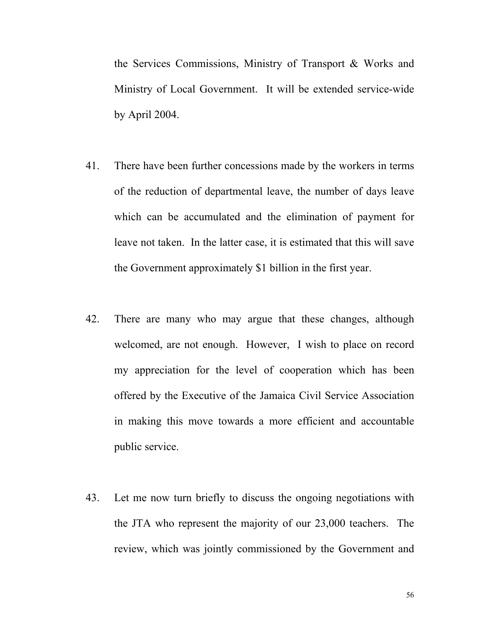the Services Commissions, Ministry of Transport & Works and Ministry of Local Government. It will be extended service-wide by April 2004.

- 41. There have been further concessions made by the workers in terms of the reduction of departmental leave, the number of days leave which can be accumulated and the elimination of payment for leave not taken. In the latter case, it is estimated that this will save the Government approximately \$1 billion in the first year.
- 42. There are many who may argue that these changes, although welcomed, are not enough. However, I wish to place on record my appreciation for the level of cooperation which has been offered by the Executive of the Jamaica Civil Service Association in making this move towards a more efficient and accountable public service.
- 43. Let me now turn briefly to discuss the ongoing negotiations with the JTA who represent the majority of our 23,000 teachers. The review, which was jointly commissioned by the Government and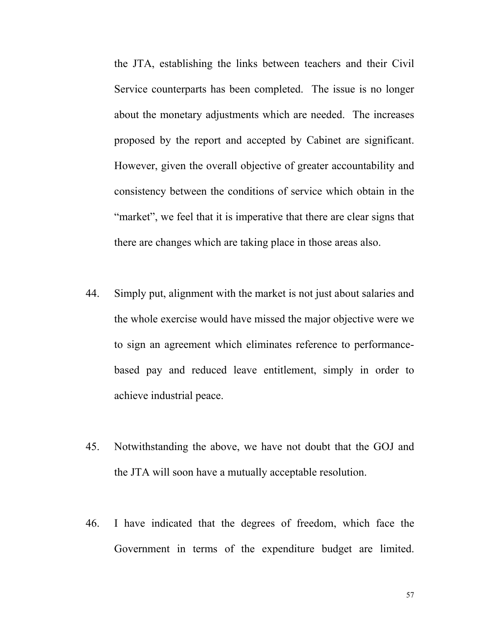the JTA, establishing the links between teachers and their Civil Service counterparts has been completed. The issue is no longer about the monetary adjustments which are needed. The increases proposed by the report and accepted by Cabinet are significant. However, given the overall objective of greater accountability and consistency between the conditions of service which obtain in the "market", we feel that it is imperative that there are clear signs that there are changes which are taking place in those areas also.

- 44. Simply put, alignment with the market is not just about salaries and the whole exercise would have missed the major objective were we to sign an agreement which eliminates reference to performancebased pay and reduced leave entitlement, simply in order to achieve industrial peace.
- 45. Notwithstanding the above, we have not doubt that the GOJ and the JTA will soon have a mutually acceptable resolution.
- 46. I have indicated that the degrees of freedom, which face the Government in terms of the expenditure budget are limited.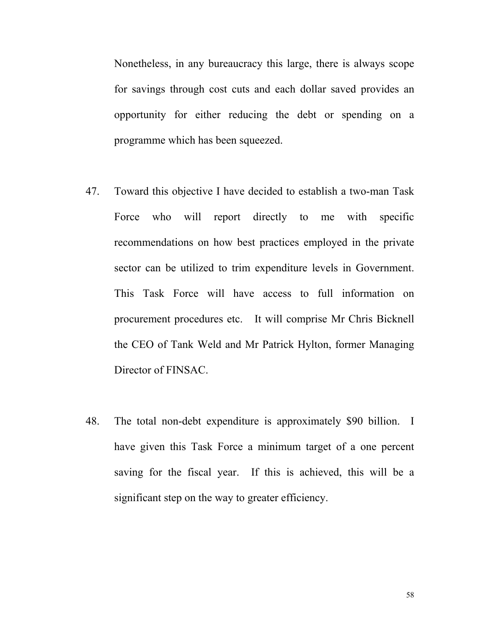Nonetheless, in any bureaucracy this large, there is always scope for savings through cost cuts and each dollar saved provides an opportunity for either reducing the debt or spending on a programme which has been squeezed.

- 47. Toward this objective I have decided to establish a two-man Task Force who will report directly to me with specific recommendations on how best practices employed in the private sector can be utilized to trim expenditure levels in Government. This Task Force will have access to full information on procurement procedures etc. It will comprise Mr Chris Bicknell the CEO of Tank Weld and Mr Patrick Hylton, former Managing Director of FINSAC.
- 48. The total non-debt expenditure is approximately \$90 billion. I have given this Task Force a minimum target of a one percent saving for the fiscal year. If this is achieved, this will be a significant step on the way to greater efficiency.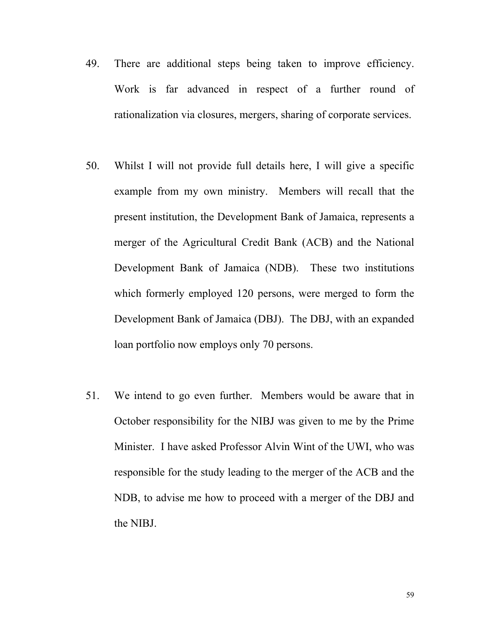- 49. There are additional steps being taken to improve efficiency. Work is far advanced in respect of a further round of rationalization via closures, mergers, sharing of corporate services.
- 50. Whilst I will not provide full details here, I will give a specific example from my own ministry. Members will recall that the present institution, the Development Bank of Jamaica, represents a merger of the Agricultural Credit Bank (ACB) and the National Development Bank of Jamaica (NDB). These two institutions which formerly employed 120 persons, were merged to form the Development Bank of Jamaica (DBJ). The DBJ, with an expanded loan portfolio now employs only 70 persons.
- 51. We intend to go even further. Members would be aware that in October responsibility for the NIBJ was given to me by the Prime Minister. I have asked Professor Alvin Wint of the UWI, who was responsible for the study leading to the merger of the ACB and the NDB, to advise me how to proceed with a merger of the DBJ and the NIBJ.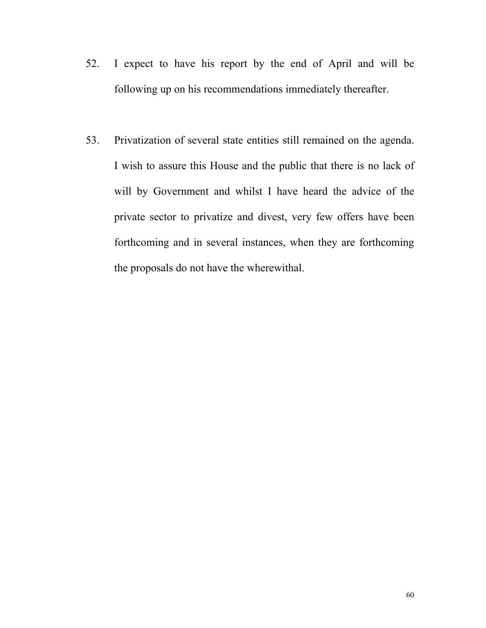- 52. I expect to have his report by the end of April and will be following up on his recommendations immediately thereafter.
- 53. Privatization of several state entities still remained on the agenda. I wish to assure this House and the public that there is no lack of will by Government and whilst I have heard the advice of the private sector to privatize and divest, very few offers have been forthcoming and in several instances, when they are forthcoming the proposals do not have the wherewithal.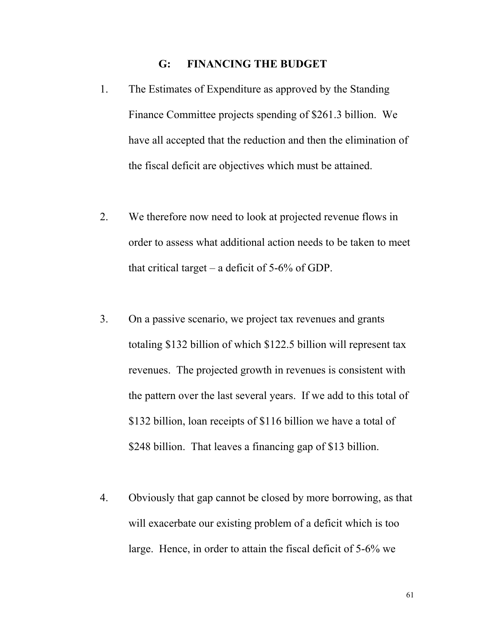## **G: FINANCING THE BUDGET**

- 1. The Estimates of Expenditure as approved by the Standing Finance Committee projects spending of \$261.3 billion. We have all accepted that the reduction and then the elimination of the fiscal deficit are objectives which must be attained.
- 2. We therefore now need to look at projected revenue flows in order to assess what additional action needs to be taken to meet that critical target – a deficit of 5-6% of GDP.
- 3. On a passive scenario, we project tax revenues and grants totaling \$132 billion of which \$122.5 billion will represent tax revenues. The projected growth in revenues is consistent with the pattern over the last several years. If we add to this total of \$132 billion, loan receipts of \$116 billion we have a total of \$248 billion. That leaves a financing gap of \$13 billion.
- 4. Obviously that gap cannot be closed by more borrowing, as that will exacerbate our existing problem of a deficit which is too large. Hence, in order to attain the fiscal deficit of 5-6% we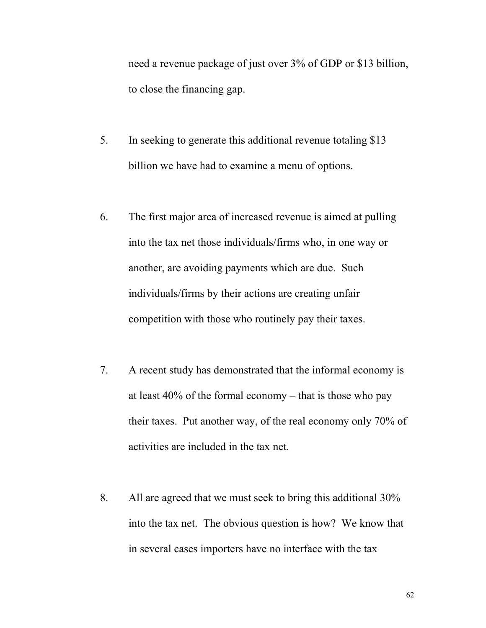need a revenue package of just over 3% of GDP or \$13 billion, to close the financing gap.

- 5. In seeking to generate this additional revenue totaling \$13 billion we have had to examine a menu of options.
- 6. The first major area of increased revenue is aimed at pulling into the tax net those individuals/firms who, in one way or another, are avoiding payments which are due. Such individuals/firms by their actions are creating unfair competition with those who routinely pay their taxes.
- 7. A recent study has demonstrated that the informal economy is at least 40% of the formal economy – that is those who pay their taxes. Put another way, of the real economy only 70% of activities are included in the tax net.
- 8. All are agreed that we must seek to bring this additional 30% into the tax net. The obvious question is how? We know that in several cases importers have no interface with the tax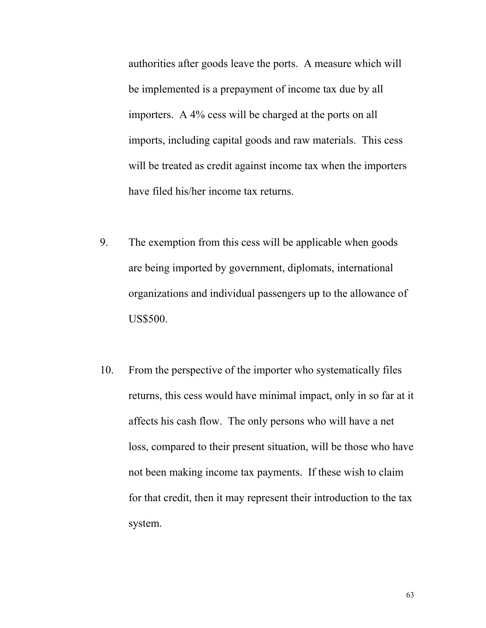authorities after goods leave the ports. A measure which will be implemented is a prepayment of income tax due by all importers. A 4% cess will be charged at the ports on all imports, including capital goods and raw materials. This cess will be treated as credit against income tax when the importers have filed his/her income tax returns.

- 9. The exemption from this cess will be applicable when goods are being imported by government, diplomats, international organizations and individual passengers up to the allowance of US\$500.
- 10. From the perspective of the importer who systematically files returns, this cess would have minimal impact, only in so far at it affects his cash flow. The only persons who will have a net loss, compared to their present situation, will be those who have not been making income tax payments. If these wish to claim for that credit, then it may represent their introduction to the tax system.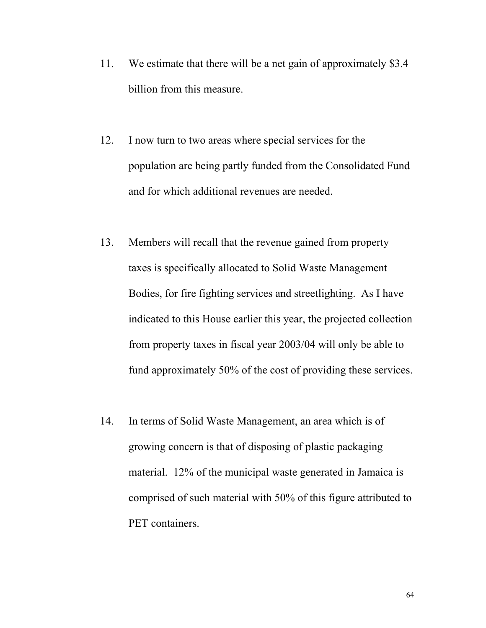- 11. We estimate that there will be a net gain of approximately \$3.4 billion from this measure.
- 12. I now turn to two areas where special services for the population are being partly funded from the Consolidated Fund and for which additional revenues are needed.
- 13. Members will recall that the revenue gained from property taxes is specifically allocated to Solid Waste Management Bodies, for fire fighting services and streetlighting. As I have indicated to this House earlier this year, the projected collection from property taxes in fiscal year 2003/04 will only be able to fund approximately 50% of the cost of providing these services.
- 14. In terms of Solid Waste Management, an area which is of growing concern is that of disposing of plastic packaging material. 12% of the municipal waste generated in Jamaica is comprised of such material with 50% of this figure attributed to PET containers.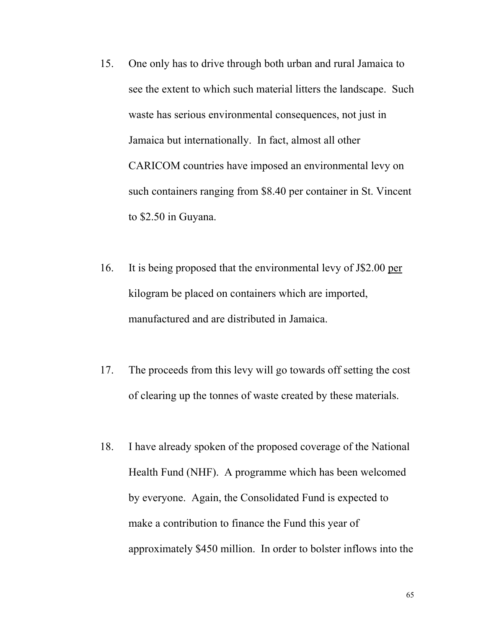- 15. One only has to drive through both urban and rural Jamaica to see the extent to which such material litters the landscape. Such waste has serious environmental consequences, not just in Jamaica but internationally. In fact, almost all other CARICOM countries have imposed an environmental levy on such containers ranging from \$8.40 per container in St. Vincent to \$2.50 in Guyana.
- 16. It is being proposed that the environmental levy of J\$2.00 per kilogram be placed on containers which are imported, manufactured and are distributed in Jamaica.
- 17. The proceeds from this levy will go towards off setting the cost of clearing up the tonnes of waste created by these materials.
- 18. I have already spoken of the proposed coverage of the National Health Fund (NHF). A programme which has been welcomed by everyone. Again, the Consolidated Fund is expected to make a contribution to finance the Fund this year of approximately \$450 million. In order to bolster inflows into the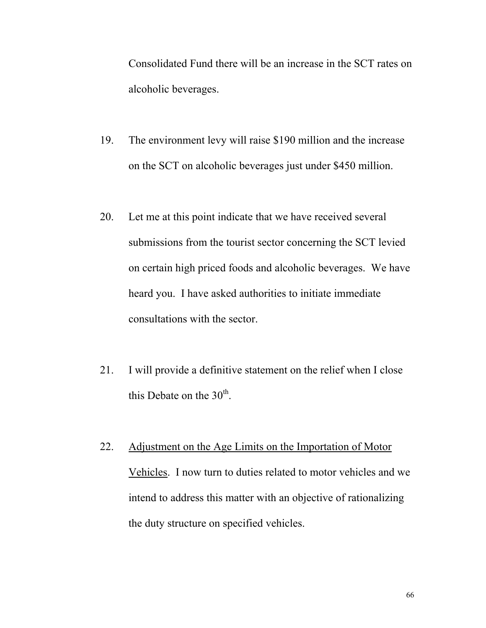Consolidated Fund there will be an increase in the SCT rates on alcoholic beverages.

- 19. The environment levy will raise \$190 million and the increase on the SCT on alcoholic beverages just under \$450 million.
- 20. Let me at this point indicate that we have received several submissions from the tourist sector concerning the SCT levied on certain high priced foods and alcoholic beverages. We have heard you. I have asked authorities to initiate immediate consultations with the sector.
- 21. I will provide a definitive statement on the relief when I close this Debate on the  $30<sup>th</sup>$ .
- 22. Adjustment on the Age Limits on the Importation of Motor Vehicles. I now turn to duties related to motor vehicles and we intend to address this matter with an objective of rationalizing the duty structure on specified vehicles.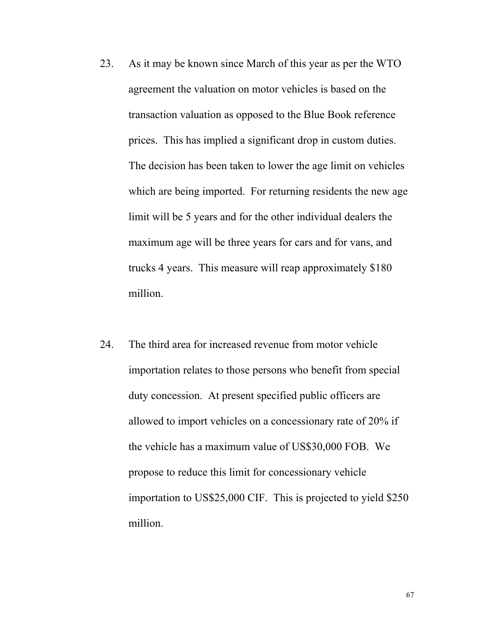- 23. As it may be known since March of this year as per the WTO agreement the valuation on motor vehicles is based on the transaction valuation as opposed to the Blue Book reference prices. This has implied a significant drop in custom duties. The decision has been taken to lower the age limit on vehicles which are being imported. For returning residents the new age limit will be 5 years and for the other individual dealers the maximum age will be three years for cars and for vans, and trucks 4 years. This measure will reap approximately \$180 million.
- 24. The third area for increased revenue from motor vehicle importation relates to those persons who benefit from special duty concession. At present specified public officers are allowed to import vehicles on a concessionary rate of 20% if the vehicle has a maximum value of US\$30,000 FOB. We propose to reduce this limit for concessionary vehicle importation to US\$25,000 CIF. This is projected to yield \$250 million.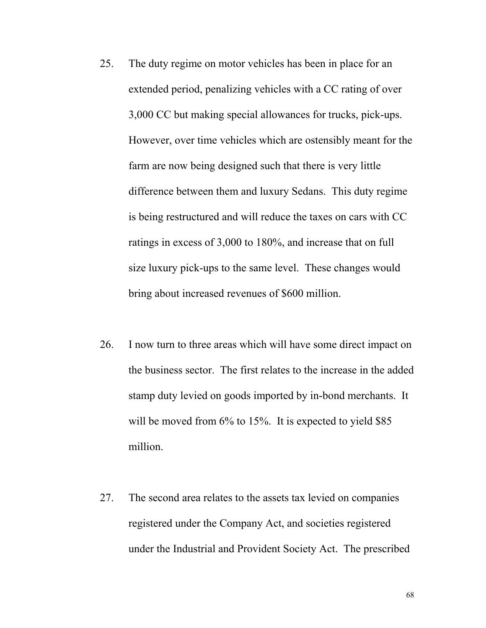- 25. The duty regime on motor vehicles has been in place for an extended period, penalizing vehicles with a CC rating of over 3,000 CC but making special allowances for trucks, pick-ups. However, over time vehicles which are ostensibly meant for the farm are now being designed such that there is very little difference between them and luxury Sedans. This duty regime is being restructured and will reduce the taxes on cars with CC ratings in excess of 3,000 to 180%, and increase that on full size luxury pick-ups to the same level. These changes would bring about increased revenues of \$600 million.
- 26. I now turn to three areas which will have some direct impact on the business sector. The first relates to the increase in the added stamp duty levied on goods imported by in-bond merchants. It will be moved from 6% to 15%. It is expected to yield \$85 million.
- 27. The second area relates to the assets tax levied on companies registered under the Company Act, and societies registered under the Industrial and Provident Society Act. The prescribed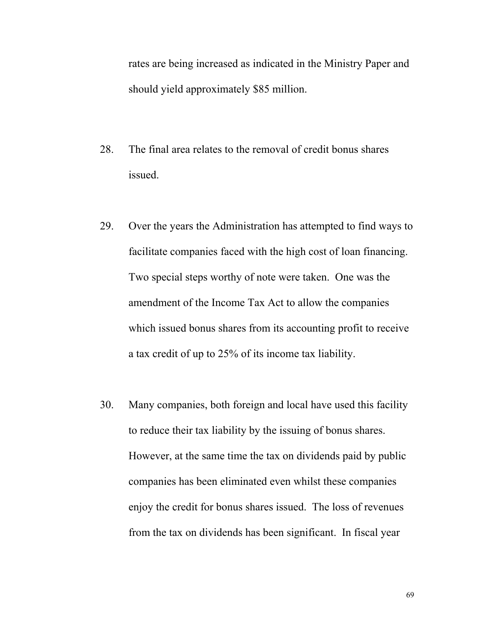rates are being increased as indicated in the Ministry Paper and should yield approximately \$85 million.

- 28. The final area relates to the removal of credit bonus shares issued.
- 29. Over the years the Administration has attempted to find ways to facilitate companies faced with the high cost of loan financing. Two special steps worthy of note were taken. One was the amendment of the Income Tax Act to allow the companies which issued bonus shares from its accounting profit to receive a tax credit of up to 25% of its income tax liability.
- 30. Many companies, both foreign and local have used this facility to reduce their tax liability by the issuing of bonus shares. However, at the same time the tax on dividends paid by public companies has been eliminated even whilst these companies enjoy the credit for bonus shares issued. The loss of revenues from the tax on dividends has been significant. In fiscal year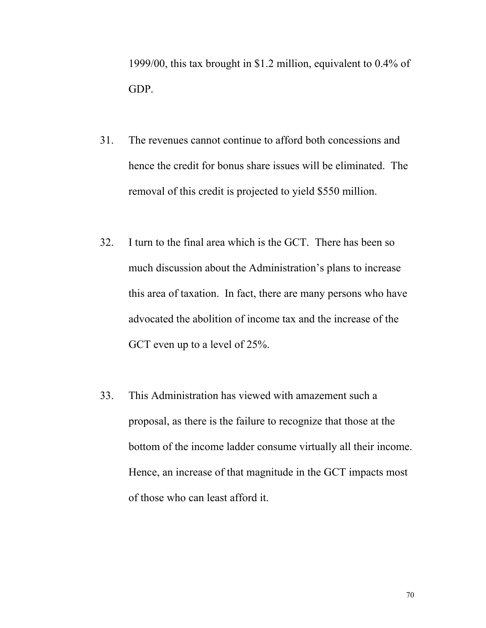1999/00, this tax brought in \$1.2 million, equivalent to 0.4% of GDP.

- 31. The revenues cannot continue to afford both concessions and hence the credit for bonus share issues will be eliminated. The removal of this credit is projected to yield \$550 million.
- 32. I turn to the final area which is the GCT. There has been so much discussion about the Administration's plans to increase this area of taxation. In fact, there are many persons who have advocated the abolition of income tax and the increase of the GCT even up to a level of 25%.
- 33. This Administration has viewed with amazement such a proposal, as there is the failure to recognize that those at the bottom of the income ladder consume virtually all their income. Hence, an increase of that magnitude in the GCT impacts most of those who can least afford it.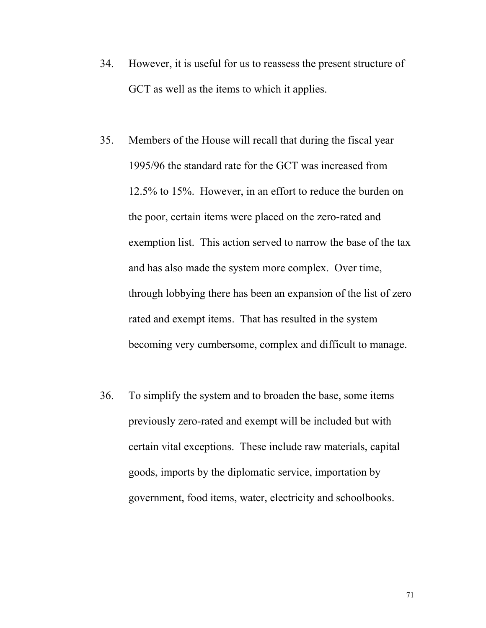- 34. However, it is useful for us to reassess the present structure of GCT as well as the items to which it applies.
- 35. Members of the House will recall that during the fiscal year 1995/96 the standard rate for the GCT was increased from 12.5% to 15%. However, in an effort to reduce the burden on the poor, certain items were placed on the zero-rated and exemption list. This action served to narrow the base of the tax and has also made the system more complex. Over time, through lobbying there has been an expansion of the list of zero rated and exempt items. That has resulted in the system becoming very cumbersome, complex and difficult to manage.
- 36. To simplify the system and to broaden the base, some items previously zero-rated and exempt will be included but with certain vital exceptions. These include raw materials, capital goods, imports by the diplomatic service, importation by government, food items, water, electricity and schoolbooks.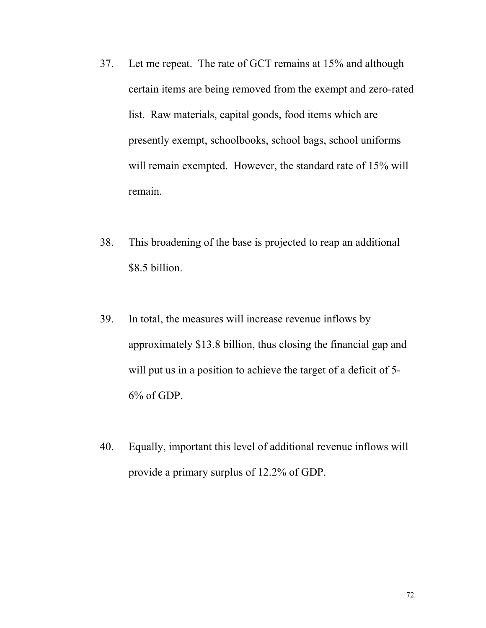- 37. Let me repeat. The rate of GCT remains at 15% and although certain items are being removed from the exempt and zero-rated list. Raw materials, capital goods, food items which are presently exempt, schoolbooks, school bags, school uniforms will remain exempted. However, the standard rate of 15% will remain.
- 38. This broadening of the base is projected to reap an additional \$8.5 billion.
- 39. In total, the measures will increase revenue inflows by approximately \$13.8 billion, thus closing the financial gap and will put us in a position to achieve the target of a deficit of 5-6% of GDP.
- 40. Equally, important this level of additional revenue inflows will provide a primary surplus of 12.2% of GDP.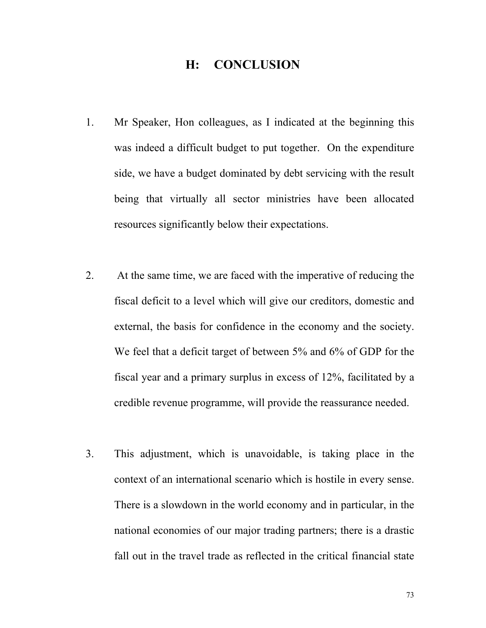## **H: CONCLUSION**

- 1. Mr Speaker, Hon colleagues, as I indicated at the beginning this was indeed a difficult budget to put together. On the expenditure side, we have a budget dominated by debt servicing with the result being that virtually all sector ministries have been allocated resources significantly below their expectations.
- 2. At the same time, we are faced with the imperative of reducing the fiscal deficit to a level which will give our creditors, domestic and external, the basis for confidence in the economy and the society. We feel that a deficit target of between 5% and 6% of GDP for the fiscal year and a primary surplus in excess of 12%, facilitated by a credible revenue programme, will provide the reassurance needed.
- 3. This adjustment, which is unavoidable, is taking place in the context of an international scenario which is hostile in every sense. There is a slowdown in the world economy and in particular, in the national economies of our major trading partners; there is a drastic fall out in the travel trade as reflected in the critical financial state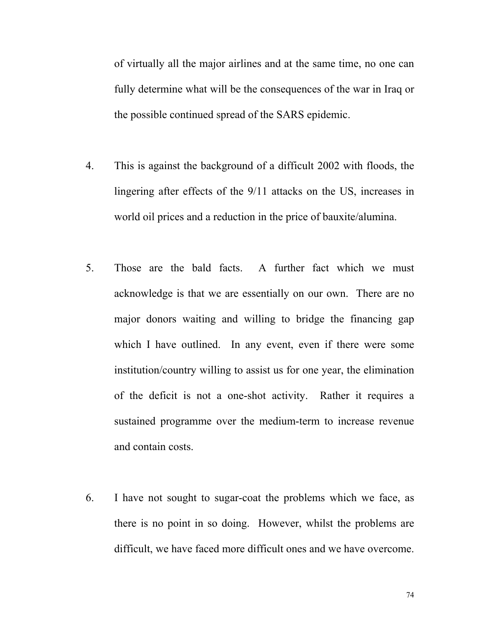of virtually all the major airlines and at the same time, no one can fully determine what will be the consequences of the war in Iraq or the possible continued spread of the SARS epidemic.

- 4. This is against the background of a difficult 2002 with floods, the lingering after effects of the 9/11 attacks on the US, increases in world oil prices and a reduction in the price of bauxite/alumina.
- 5. Those are the bald facts. A further fact which we must acknowledge is that we are essentially on our own. There are no major donors waiting and willing to bridge the financing gap which I have outlined. In any event, even if there were some institution/country willing to assist us for one year, the elimination of the deficit is not a one-shot activity. Rather it requires a sustained programme over the medium-term to increase revenue and contain costs.
- 6. I have not sought to sugar-coat the problems which we face, as there is no point in so doing. However, whilst the problems are difficult, we have faced more difficult ones and we have overcome.

74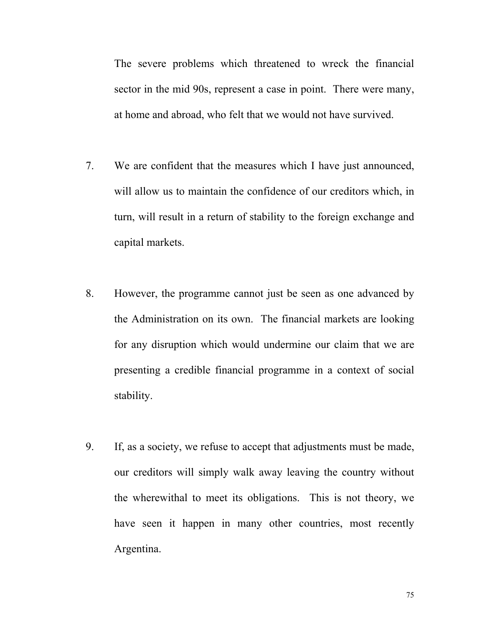The severe problems which threatened to wreck the financial sector in the mid 90s, represent a case in point. There were many, at home and abroad, who felt that we would not have survived.

- 7. We are confident that the measures which I have just announced, will allow us to maintain the confidence of our creditors which, in turn, will result in a return of stability to the foreign exchange and capital markets.
- 8. However, the programme cannot just be seen as one advanced by the Administration on its own. The financial markets are looking for any disruption which would undermine our claim that we are presenting a credible financial programme in a context of social stability.
- 9. If, as a society, we refuse to accept that adjustments must be made, our creditors will simply walk away leaving the country without the wherewithal to meet its obligations. This is not theory, we have seen it happen in many other countries, most recently Argentina.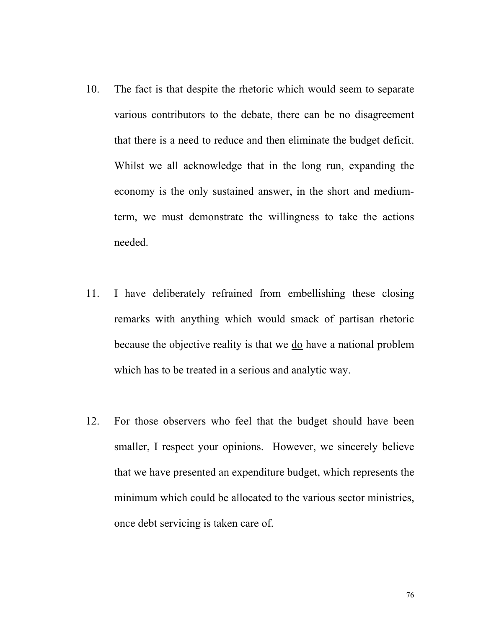- 10. The fact is that despite the rhetoric which would seem to separate various contributors to the debate, there can be no disagreement that there is a need to reduce and then eliminate the budget deficit. Whilst we all acknowledge that in the long run, expanding the economy is the only sustained answer, in the short and mediumterm, we must demonstrate the willingness to take the actions needed.
- 11. I have deliberately refrained from embellishing these closing remarks with anything which would smack of partisan rhetoric because the objective reality is that we do have a national problem which has to be treated in a serious and analytic way.
- 12. For those observers who feel that the budget should have been smaller, I respect your opinions. However, we sincerely believe that we have presented an expenditure budget, which represents the minimum which could be allocated to the various sector ministries, once debt servicing is taken care of.